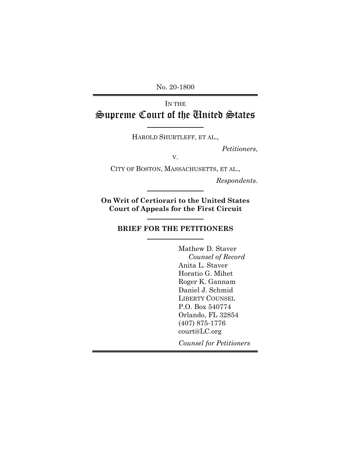No. 20-1800

# IN THE Supreme Court of the United States

HAROLD SHURTLEFF, ET AL.,

*Petitioners*,

V.

CITY OF BOSTON, MASSACHUSETTS, ET AL.,

*Respondents*.

**On Writ of Certiorari to the United States Court of Appeals for the First Circuit**

## **BRIEF FOR THE PETITIONERS**

Mathew D. Staver *Counsel of Record* Anita L. Staver Horatio G. Mihet Roger K. Gannam Daniel J. Schmid LIBERTY COUNSEL P.O. Box 540774 Orlando, FL 32854 (407) 875-1776 court@LC.org

*Counsel for Petitioners*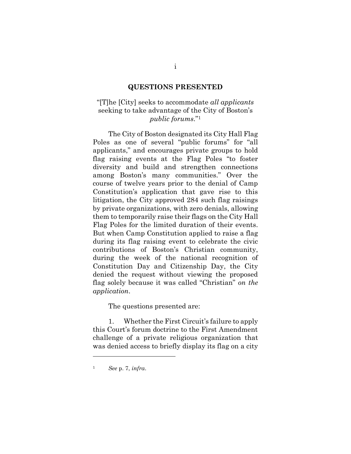#### **QUESTIONS PRESENTED**

## "[T]he [City] seeks to accommodate *all applicants* seeking to take advantage of the City of Boston's *public forums*." 1

The City of Boston designated its City Hall Flag Poles as one of several "public forums" for "all applicants," and encourages private groups to hold flag raising events at the Flag Poles "to foster diversity and build and strengthen connections among Boston's many communities." Over the course of twelve years prior to the denial of Camp Constitution's application that gave rise to this litigation, the City approved 284 such flag raisings by private organizations, with zero denials, allowing them to temporarily raise their flags on the City Hall Flag Poles for the limited duration of their events. But when Camp Constitution applied to raise a flag during its flag raising event to celebrate the civic contributions of Boston's Christian community, during the week of the national recognition of Constitution Day and Citizenship Day, the City denied the request without viewing the proposed flag solely because it was called "Christian" *on the application*.

The questions presented are:

1. Whether the First Circuit's failure to apply this Court's forum doctrine to the First Amendment challenge of a private religious organization that was denied access to briefly display its flag on a city

<sup>1</sup> *See* p. 7, *infra*.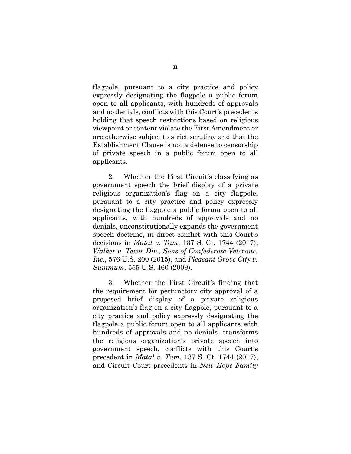flagpole, pursuant to a city practice and policy expressly designating the flagpole a public forum open to all applicants, with hundreds of approvals and no denials, conflicts with this Court's precedents holding that speech restrictions based on religious viewpoint or content violate the First Amendment or are otherwise subject to strict scrutiny and that the Establishment Clause is not a defense to censorship of private speech in a public forum open to all applicants.

2. Whether the First Circuit's classifying as government speech the brief display of a private religious organization's flag on a city flagpole, pursuant to a city practice and policy expressly designating the flagpole a public forum open to all applicants, with hundreds of approvals and no denials, unconstitutionally expands the government speech doctrine, in direct conflict with this Court's decisions in *Matal v. Tam*, 137 S. Ct. 1744 (2017), *Walker v. Texas Div., Sons of Confederate Veterans, Inc.*, 576 U.S. 200 (2015), and *Pleasant Grove City v. Summum*, 555 U.S. 460 (2009).

3. Whether the First Circuit's finding that the requirement for perfunctory city approval of a proposed brief display of a private religious organization's flag on a city flagpole, pursuant to a city practice and policy expressly designating the flagpole a public forum open to all applicants with hundreds of approvals and no denials, transforms the religious organization's private speech into government speech, conflicts with this Court's precedent in *Matal v. Tam*, 137 S. Ct. 1744 (2017), and Circuit Court precedents in *New Hope Family*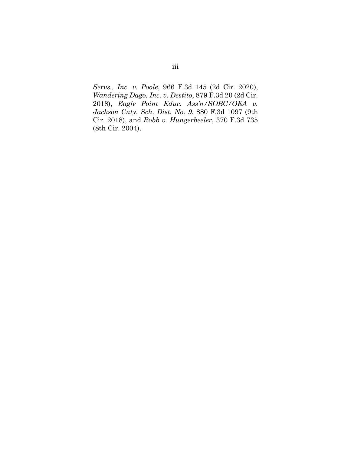*Servs., Inc. v. Poole*, 966 F.3d 145 (2d Cir. 2020), *Wandering Dago, Inc. v. Destito*, 879 F.3d 20 (2d Cir. 2018), *Eagle Point Educ. Ass'n/SOBC/OEA v. Jackson Cnty. Sch. Dist. No. 9*, 880 F.3d 1097 (9th Cir. 2018), and *Robb v. Hungerbeeler*, 370 F.3d 735 (8th Cir. 2004).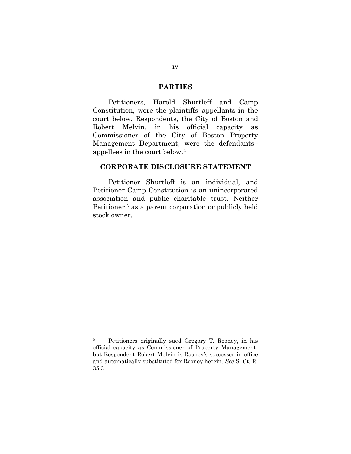## **PARTIES**

Petitioners, Harold Shurtleff and Camp Constitution, were the plaintiffs–appellants in the court below. Respondents, the City of Boston and Robert Melvin, in his official capacity as Commissioner of the City of Boston Property Management Department, were the defendants– appellees in the court below.<sup>2</sup>

### **CORPORATE DISCLOSURE STATEMENT**

Petitioner Shurtleff is an individual, and Petitioner Camp Constitution is an unincorporated association and public charitable trust. Neither Petitioner has a parent corporation or publicly held stock owner.

<sup>2</sup> Petitioners originally sued Gregory T. Rooney, in his official capacity as Commissioner of Property Management, but Respondent Robert Melvin is Rooney's successor in office and automatically substituted for Rooney herein. *See* S. Ct. R. 35.3.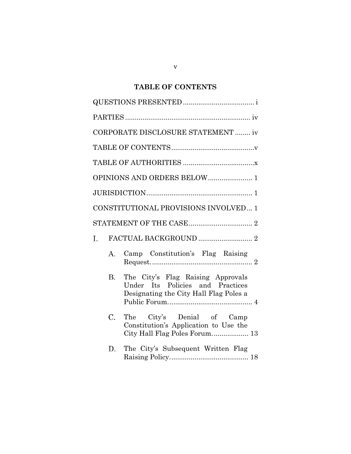# **TABLE OF CONTENTS**

|                | CORPORATE DISCLOSURE STATEMENT  iv                                                                              |
|----------------|-----------------------------------------------------------------------------------------------------------------|
|                |                                                                                                                 |
|                |                                                                                                                 |
|                | OPINIONS AND ORDERS BELOW  1                                                                                    |
|                |                                                                                                                 |
|                | CONSTITUTIONAL PROVISIONS INVOLVED 1                                                                            |
|                |                                                                                                                 |
| $\mathbf{I}$ . |                                                                                                                 |
| A.             | Camp Constitution's Flag Raising                                                                                |
| В.             | The City's Flag Raising Approvals<br>Under Its Policies and Practices<br>Designating the City Hall Flag Poles a |
| $\rm C.$       | The City's Denial of Camp<br>Constitution's Application to Use the<br>City Hall Flag Poles Forum 13             |
| D.             | The City's Subsequent Written Flag                                                                              |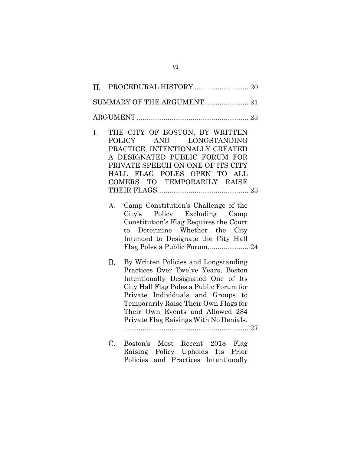| SUMMARY OF THE ARGUMENT 21 |                 |                                                                                                                                                                                                                                                                                                                                                                                                                                                                                                                                              |  |  |  |
|----------------------------|-----------------|----------------------------------------------------------------------------------------------------------------------------------------------------------------------------------------------------------------------------------------------------------------------------------------------------------------------------------------------------------------------------------------------------------------------------------------------------------------------------------------------------------------------------------------------|--|--|--|
|                            |                 |                                                                                                                                                                                                                                                                                                                                                                                                                                                                                                                                              |  |  |  |
| I.                         | Α.<br><b>B.</b> | THE CITY OF BOSTON, BY WRITTEN<br>AND LONGSTANDING<br>POLICY<br>PRACTICE, INTENTIONALLY CREATED<br>A DESIGNATED PUBLIC FORUM FOR<br>PRIVATE SPEECH ON ONE OF ITS CITY<br>HALL FLAG POLES OPEN TO ALL<br>COMERS TO TEMPORARILY RAISE<br>Camp Constitution's Challenge of the<br>City's Policy Excluding Camp<br>Constitution's Flag Requires the Court<br>to Determine Whether the City<br>Intended to Designate the City Hall<br>Flag Poles a Public Forum 24<br>By Written Policies and Longstanding<br>Practices Over Twelve Years, Boston |  |  |  |
|                            |                 | Intentionally Designated One of Its<br>City Hall Flag Poles a Public Forum for<br>Private Individuals and Groups to<br>Temporarily Raise Their Own Flags for<br>Their Own Events and Allowed 284<br>Private Flag Raisings With No Denials.                                                                                                                                                                                                                                                                                                   |  |  |  |
|                            | C.              | Boston's Most Recent 2018 Flag<br>Raising Policy Upholds Its Prior<br>Policies and Practices Intentionally                                                                                                                                                                                                                                                                                                                                                                                                                                   |  |  |  |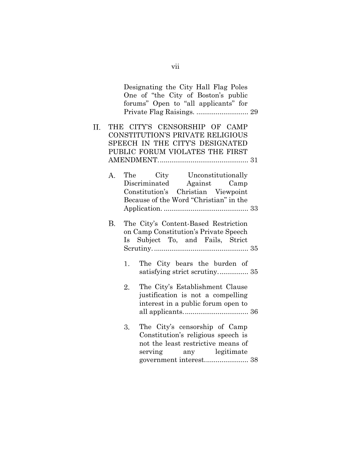|     |    |    | Designating the City Hall Flag Poles<br>One of "the City of Boston's public<br>forums" Open to "all applicants" for                            |                |  |
|-----|----|----|------------------------------------------------------------------------------------------------------------------------------------------------|----------------|--|
| II. |    |    | THE CITY'S CENSORSHIP OF CAMP<br>CONSTITUTION'S PRIVATE RELIGIOUS<br>SPEECH IN THE CITY'S DESIGNATED<br>PUBLIC FORUM VIOLATES THE FIRST        |                |  |
|     | A. |    | The City Unconstitutionally<br>Discriminated Against Camp<br>Constitution's Christian Viewpoint<br>Because of the Word "Christian" in the      |                |  |
|     | B. |    | The City's Content-Based Restriction<br>on Camp Constitution's Private Speech<br>Is Subject To, and Fails, Strict                              |                |  |
|     |    | 1. | The City bears the burden of<br>satisfying strict scrutiny 35                                                                                  |                |  |
|     |    | 2. | The City's Establishment Clause<br>justification is not a compelling<br>interest in a public forum open to                                     |                |  |
|     |    | 3. | The City's censorship of Camp<br>Constitution's religious speech is<br>not the least restrictive means of<br>serving<br>government interest 38 | any legitimate |  |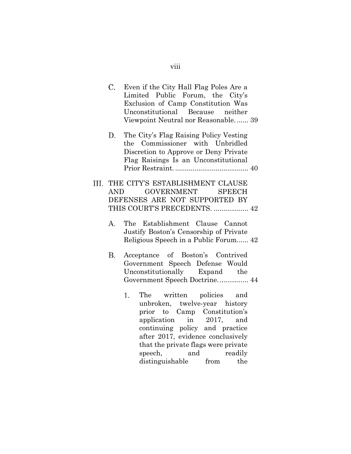| $\mathcal{C}$ . | Even if the City Hall Flag Poles Are a<br>Limited Public Forum, the City's<br>Exclusion of Camp Constitution Was<br>Unconstitutional Because neither<br>Viewpoint Neutral nor Reasonable 39                                               |
|-----------------|-------------------------------------------------------------------------------------------------------------------------------------------------------------------------------------------------------------------------------------------|
| D.              | The City's Flag Raising Policy Vesting<br>the Commissioner with Unbridled<br>Discretion to Approve or Deny Private<br>Flag Raisings Is an Unconstitutional                                                                                |
|                 | III. THE CITY'S ESTABLISHMENT CLAUSE<br>GOVERNMENT<br><b>SPEECH</b><br>AND<br>DEFENSES ARE NOT SUPPORTED BY<br>THIS COURT'S PRECEDENTS.  42                                                                                               |
| A.              | The Establishment Clause Cannot<br>Justify Boston's Censorship of Private<br>Religious Speech in a Public Forum 42                                                                                                                        |
| В.              | Acceptance of Boston's Contrived<br>Government Speech Defense Would<br>Unconstitutionally Expand the<br>Government Speech Doctrine 44                                                                                                     |
|                 | The written policies and<br>1.<br>unbroken, twelve-year history<br>prior to Camp Constitution's<br>application in 2017, and<br>continuing policy and practice<br>after 2017, evidence conclusively<br>that the private flags were private |

speech, and readily distinguishable from the

viii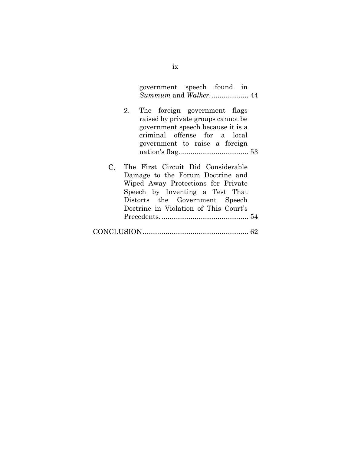| government speech found in |  |  |
|----------------------------|--|--|
|                            |  |  |

- 2. The foreign government flags raised by private groups cannot be government speech because it is a criminal offense for a local government to raise a foreign nation's flag.................................... 53
- $C_{\cdot}$ The First Circuit Did Considerable Damage to the Forum Doctrine and Wiped Away Protections for Private Speech by Inventing a Test That Distorts the Government Speech Doctrine in Violation of This Court's Precedents. ............................................. 54

|--|--|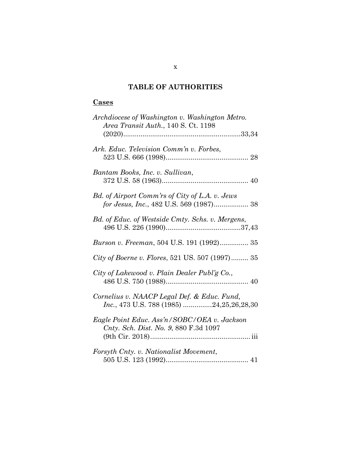# **TABLE OF AUTHORITIES**

# **Cases**

| Archdiocese of Washington v. Washington Metro.<br><i>Area Transit Auth., 140 S. Ct. 1198</i> |
|----------------------------------------------------------------------------------------------|
|                                                                                              |
| Ark. Educ. Television Comm'n v. Forbes,                                                      |
| Bantam Books, Inc. v. Sullivan,                                                              |
| Bd. of Airport Comm'rs of City of L.A. v. Jews<br>for Jesus, Inc., 482 U.S. 569 (1987) 38    |
| Bd. of Educ. of Westside Cmty. Schs. v. Mergens,                                             |
| Burson v. Freeman, 504 U.S. 191 (1992) 35                                                    |
| City of Boerne v. Flores, 521 US. 507 (1997) 35                                              |
| City of Lakewood v. Plain Dealer Publ'g Co.,                                                 |
| Cornelius v. NAACP Legal Def. & Educ. Fund,<br>Inc., 473 U.S. 788 (1985) 24,25,26,28,30      |
| Eagle Point Educ. Ass'n/SOBC/OEA v. Jackson<br>Cnty. Sch. Dist. No. 9, 880 F.3d 1097         |
| Forsyth Cnty. v. Nationalist Movement,                                                       |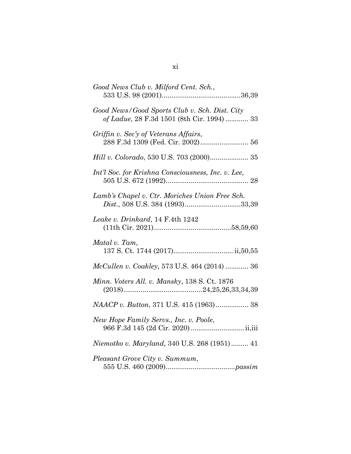| Good News Club v. Milford Cent. Sch.,                                                       |
|---------------------------------------------------------------------------------------------|
| Good News/Good Sports Club v. Sch. Dist. City<br>of Ladue, 28 F.3d 1501 (8th Cir. 1994)  33 |
| Griffin v. Sec'y of Veterans Affairs,<br>288 F.3d 1309 (Fed. Cir. 2002) 56                  |
| Hill v. Colorado, 530 U.S. 703 (2000) 35                                                    |
| Int'l Soc. for Krishna Consciousness, Inc. v. Lee,                                          |
| Lamb's Chapel v. Ctr. Moriches Union Free Sch.<br>Dist., 508 U.S. 384 (1993)33,39           |
| Leake v. Drinkard, 14 F.4th 1242                                                            |
| Matal v. Tam,                                                                               |
| McCullen v. Coakley, 573 U.S. 464 (2014)  36                                                |
| Minn. Voters All. v. Mansky, 138 S. Ct. 1876                                                |
| NAACP v. Button, 371 U.S. 415 (1963) 38                                                     |
| New Hope Family Servs., Inc. v. Poole,                                                      |
| Niemotko v. Maryland, 340 U.S. 268 (1951) 41                                                |
| Pleasant Grove City v. Summum,                                                              |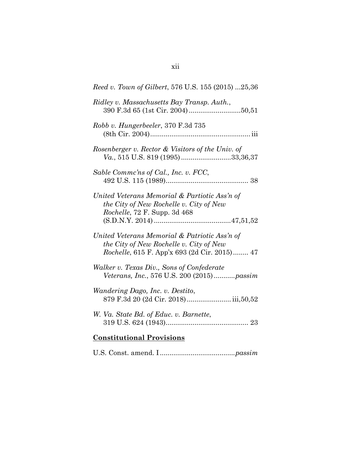| Reed v. Town of Gilbert, 576 U.S. 155 (2015) 25,36                                                                                               |
|--------------------------------------------------------------------------------------------------------------------------------------------------|
| Ridley v. Massachusetts Bay Transp. Auth.,                                                                                                       |
| Robb v. Hungerbeeler, 370 F.3d 735                                                                                                               |
| Rosenberger v. Rector & Visitors of the Univ. of<br>Va., 515 U.S. 819 (1995) 33,36,37                                                            |
| Sable Commc'ns of Cal., Inc. v. FCC,                                                                                                             |
| United Veterans Memorial & Partiotic Ass'n of<br>the City of New Rochelle v. City of New<br><i>Rochelle</i> , 72 F. Supp. 3d 468                 |
| United Veterans Memorial & Patriotic Ass'n of<br>the City of New Rochelle v. City of New<br><i>Rochelle</i> , 615 F. App'x 693 (2d Cir. 2015) 47 |
| Walker v. Texas Div., Sons of Confederate<br><i>Veterans, Inc., 576 U.S. 200 (2015)passim</i>                                                    |
| Wandering Dago, Inc. v. Destito,<br>879 F.3d 20 (2d Cir. 2018) iii,50,52                                                                         |
| W. Va. State Bd. of Educ. v. Barnette,                                                                                                           |
| <b>Constitutional Provisions</b>                                                                                                                 |

U.S. Const. amend. I .......................................*passim*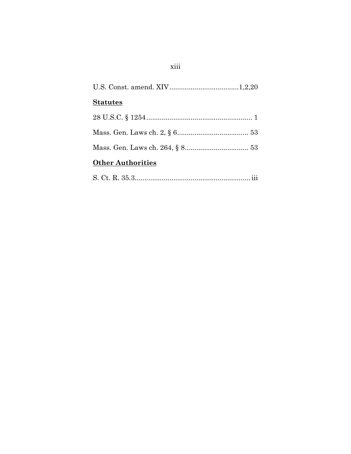| <b>Statutes</b>          |
|--------------------------|
|                          |
|                          |
|                          |
| <b>Other Authorities</b> |
|                          |

# $xiii$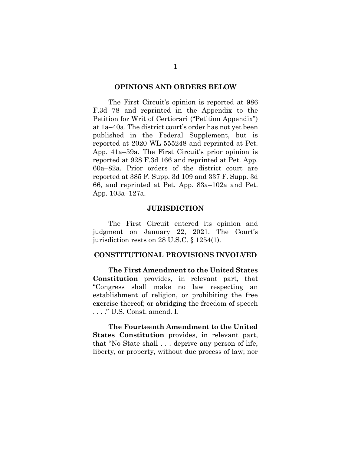#### **OPINIONS AND ORDERS BELOW**

The First Circuit's opinion is reported at 986 F.3d 78 and reprinted in the Appendix to the Petition for Writ of Certiorari ("Petition Appendix") at 1a–40a. The district court's order has not yet been published in the Federal Supplement, but is reported at 2020 WL 555248 and reprinted at Pet. App. 41a–59a. The First Circuit's prior opinion is reported at 928 F.3d 166 and reprinted at Pet. App. 60a–82a. Prior orders of the district court are reported at 385 F. Supp. 3d 109 and 337 F. Supp. 3d 66, and reprinted at Pet. App. 83a–102a and Pet. App. 103a–127a.

### **JURISDICTION**

The First Circuit entered its opinion and judgment on January 22, 2021. The Court's jurisdiction rests on 28 U.S.C. § 1254(1).

## **CONSTITUTIONAL PROVISIONS INVOLVED**

**The First Amendment to the United States Constitution** provides, in relevant part, that "Congress shall make no law respecting an establishment of religion, or prohibiting the free exercise thereof; or abridging the freedom of speech . . . ." U.S. Const. amend. I.

**The Fourteenth Amendment to the United States Constitution** provides, in relevant part, that "No State shall . . . deprive any person of life, liberty, or property, without due process of law; nor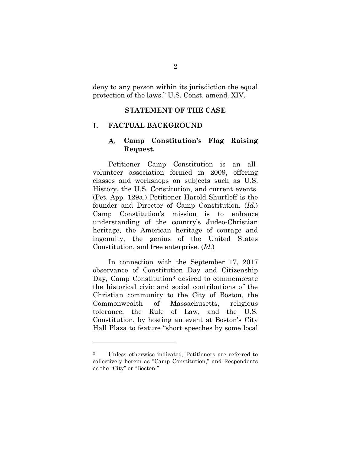deny to any person within its jurisdiction the equal protection of the laws." U.S. Const. amend. XIV.

## **STATEMENT OF THE CASE**

#### T. **FACTUAL BACKGROUND**

#### **Camp Constitution's Flag Raising**  A. **Request.**

Petitioner Camp Constitution is an allvolunteer association formed in 2009, offering classes and workshops on subjects such as U.S. History, the U.S. Constitution, and current events. (Pet. App. 129a.) Petitioner Harold Shurtleff is the founder and Director of Camp Constitution. (*Id.*) Camp Constitution's mission is to enhance understanding of the country's Judeo-Christian heritage, the American heritage of courage and ingenuity, the genius of the United States Constitution, and free enterprise. (*Id.*)

In connection with the September 17, 2017 observance of Constitution Day and Citizenship Day, Camp Constitution<sup>3</sup> desired to commemorate the historical civic and social contributions of the Christian community to the City of Boston, the Commonwealth of Massachusetts, religious tolerance, the Rule of Law, and the U.S. Constitution, by hosting an event at Boston's City Hall Plaza to feature "short speeches by some local

Unless otherwise indicated, Petitioners are referred to collectively herein as "Camp Constitution," and Respondents as the "City" or "Boston."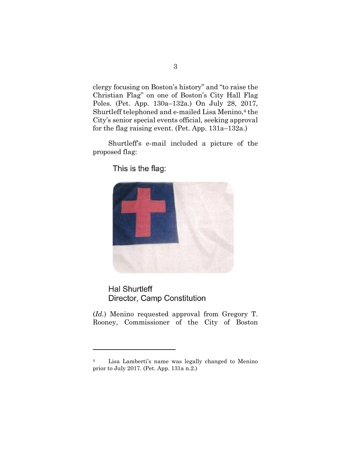clergy focusing on Boston's history" and "to raise the Christian Flag" on one of Boston's City Hall Flag Poles. (Pet. App. 130a–132a.) On July 28, 2017, Shurtleff telephoned and e-mailed Lisa Menino, <sup>4</sup> the City's senior special events official, seeking approval for the flag raising event. (Pet. App. 131a–132a.)

Shurtleff's e-mail included a picture of the proposed flag:

This is the flag:



**Hal Shurtleff** Director, Camp Constitution

(*Id.*) Menino requested approval from Gregory T. Rooney, Commissioner of the City of Boston

<sup>4</sup> Lisa Lamberti's name was legally changed to Menino prior to July 2017. (Pet. App. 131a n.2.)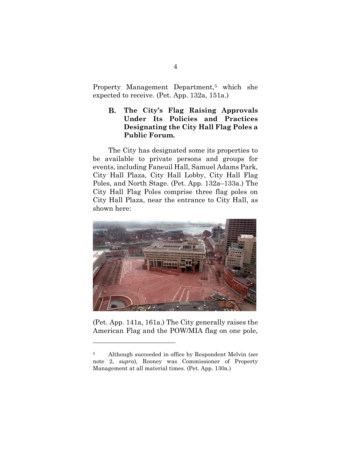Property Management Department, <sup>5</sup> which she expected to receive. (Pet. App. 132a, 151a.)

**B. The City's Flag Raising Approvals Under Its Policies and Practices Designating the City Hall Flag Poles a Public Forum.**

The City has designated some its properties to be available to private persons and groups for events, including Faneuil Hall, Samuel Adams Park, City Hall Plaza, City Hall Lobby, City Hall Flag Poles, and North Stage. (Pet. App. 132a–133a.) The City Hall Flag Poles comprise three flag poles on City Hall Plaza, near the entrance to City Hall, as shown here:



(Pet. App. 141a, 161a.) The City generally raises the American Flag and the POW/MIA flag on one pole,

<sup>5</sup> Although succeeded in office by Respondent Melvin (*see*  note 2, *supra*), Rooney was Commissioner of Property Management at all material times. (Pet. App. 130a.)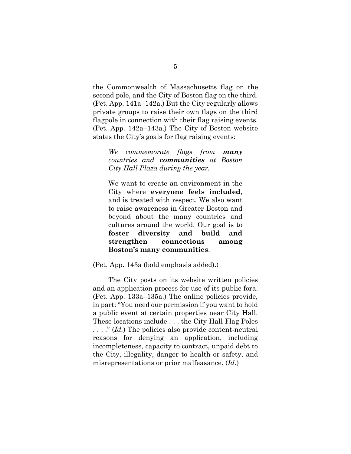the Commonwealth of Massachusetts flag on the second pole, and the City of Boston flag on the third. (Pet. App. 141a–142a.) But the City regularly allows private groups to raise their own flags on the third flagpole in connection with their flag raising events. (Pet. App. 142a–143a.) The City of Boston website states the City's goals for flag raising events:

*We commemorate flags from many countries and communities at Boston City Hall Plaza during the year.*

We want to create an environment in the City where **everyone feels included**, and is treated with respect. We also want to raise awareness in Greater Boston and beyond about the many countries and cultures around the world. Our goal is to **foster diversity and build and strengthen connections among Boston's many communities**.

(Pet. App. 143a (bold emphasis added).)

The City posts on its website written policies and an application process for use of its public fora. (Pet. App. 133a–135a.) The online policies provide, in part: "You need our permission if you want to hold a public event at certain properties near City Hall. These locations include . . . the City Hall Flag Poles . . . ." (*Id.*) The policies also provide content-neutral reasons for denying an application, including incompleteness, capacity to contract, unpaid debt to the City, illegality, danger to health or safety, and misrepresentations or prior malfeasance. (*Id.*)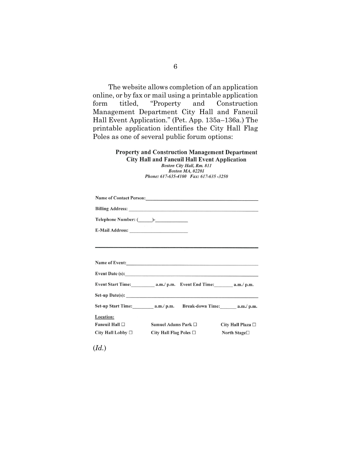The website allows completion of an application online, or by fax or mail using a printable application form titled, "Property and Construction Management Department City Hall and Faneuil Hall Event Application." (Pet. App. 135a–136a.) The printable application identifies the City Hall Flag Poles as one of several public forum options:

#### **Property and Construction Management Department City Hall and Faneuil Hall Event Application Boston City Hall, Rm. 811 Boston MA, 02201** Phone: 617-635-4100 Fax: 617-635-3250

| Name of Event:         |                                                      |  |                        |  |  |
|------------------------|------------------------------------------------------|--|------------------------|--|--|
| Event Date (s):        |                                                      |  |                        |  |  |
|                        |                                                      |  |                        |  |  |
|                        |                                                      |  |                        |  |  |
|                        |                                                      |  |                        |  |  |
| Location:              |                                                      |  |                        |  |  |
| Faneuil Hall $\square$ | Samuel Adams Park □                                  |  | City Hall Plaza $\Box$ |  |  |
| City Hall Lobby $\Box$ | City Hall Flag Poles $\square$<br>North Stage $\Box$ |  |                        |  |  |

(*Id.*)

6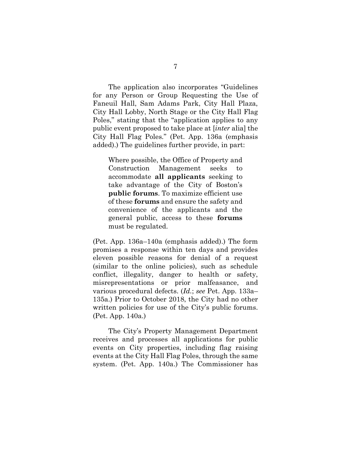The application also incorporates "Guidelines for any Person or Group Requesting the Use of Faneuil Hall, Sam Adams Park, City Hall Plaza, City Hall Lobby, North Stage or the City Hall Flag Poles," stating that the "application applies to any public event proposed to take place at [*inter* alia] the City Hall Flag Poles." (Pet. App. 136a (emphasis added).) The guidelines further provide, in part:

Where possible, the Office of Property and Construction Management seeks to accommodate **all applicants** seeking to take advantage of the City of Boston's **public forums**. To maximize efficient use of these **forums** and ensure the safety and convenience of the applicants and the general public, access to these **forums**  must be regulated.

(Pet. App. 136a–140a (emphasis added).) The form promises a response within ten days and provides eleven possible reasons for denial of a request (similar to the online policies), such as schedule conflict, illegality, danger to health or safety, misrepresentations or prior malfeasance, and various procedural defects. (*Id.*; *see* Pet. App. 133a– 135a.) Prior to October 2018, the City had no other written policies for use of the City's public forums. (Pet. App. 140a.)

The City's Property Management Department receives and processes all applications for public events on City properties, including flag raising events at the City Hall Flag Poles, through the same system. (Pet. App. 140a.) The Commissioner has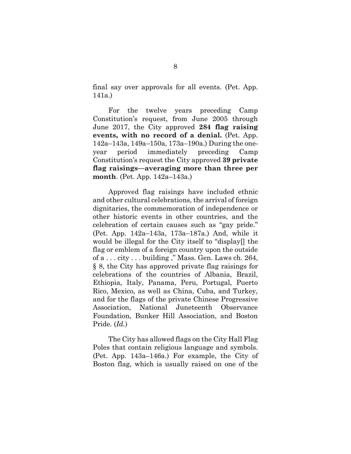final say over approvals for all events. (Pet. App. 141a.)

For the twelve years preceding Camp Constitution's request, from June 2005 through June 2017, the City approved **284 flag raising events, with no record of a denial.** (Pet. App. 142a–143a, 149a–150a, 173a–190a.) During the oneyear period immediately preceding Camp Constitution's request the City approved **39 private flag raisings—averaging more than three per month**. (Pet. App. 142a–143a.)

Approved flag raisings have included ethnic and other cultural celebrations, the arrival of foreign dignitaries, the commemoration of independence or other historic events in other countries, and the celebration of certain causes such as "gay pride." (Pet. App. 142a–143a, 173a–187a.) And, while it would be illegal for the City itself to "display[] the flag or emblem of a foreign country upon the outside of a . . . city . . . building ," Mass. Gen. Laws ch. 264, § 8, the City has approved private flag raisings for celebrations of the countries of Albania, Brazil, Ethiopia, Italy, Panama, Peru, Portugal, Puerto Rico, Mexico, as well as China, Cuba, and Turkey, and for the flags of the private Chinese Progressive Association, National Juneteenth Observance Foundation, Bunker Hill Association, and Boston Pride. (*Id.*)

The City has allowed flags on the City Hall Flag Poles that contain religious language and symbols. (Pet. App. 143a–146a.) For example, the City of Boston flag, which is usually raised on one of the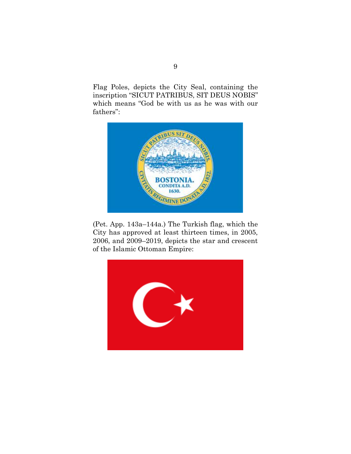Flag Poles, depicts the City Seal, containing the inscription "SICUT PATRIBUS, SIT DEUS NOBIS" which means "God be with us as he was with our fathers":



(Pet. App. 143a–144a.) The Turkish flag, which the City has approved at least thirteen times, in 2005, 2006, and 2009–2019, depicts the star and crescent of the Islamic Ottoman Empire:

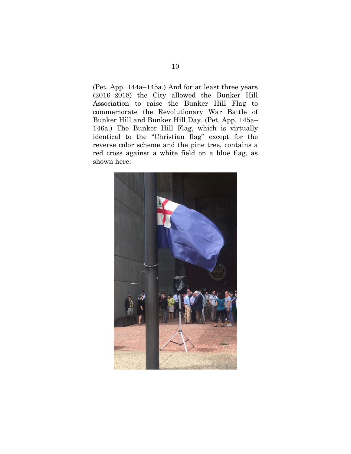(Pet. App. 144a–145a.) And for at least three years (2016–2018) the City allowed the Bunker Hill Association to raise the Bunker Hill Flag to commemorate the Revolutionary War Battle of Bunker Hill and Bunker Hill Day. (Pet. App. 145a– 146a.) The Bunker Hill Flag, which is virtually identical to the "Christian flag" except for the reverse color scheme and the pine tree, contains a red cross against a white field on a blue flag, as shown here:

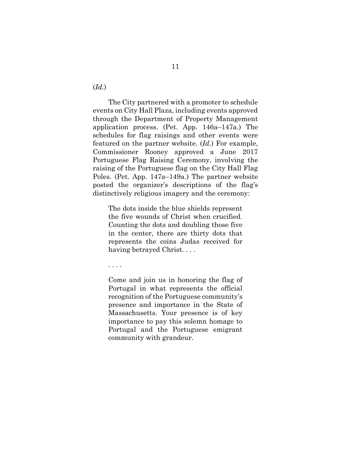(*Id.*)

The City partnered with a promoter to schedule events on City Hall Plaza, including events approved through the Department of Property Management application process. (Pet. App. 146a–147a.) The schedules for flag raisings and other events were featured on the partner website. (*Id.*) For example, Commissioner Rooney approved a June 2017 Portuguese Flag Raising Ceremony, involving the raising of the Portuguese flag on the City Hall Flag Poles. (Pet. App. 147a–149a.) The partner website posted the organizer's descriptions of the flag's distinctively religious imagery and the ceremony:

The dots inside the blue shields represent the five wounds of Christ when crucified. Counting the dots and doubling those five in the center, there are thirty dots that represents the coins Judas received for having betrayed Christ. . . .

. . . .

Come and join us in honoring the flag of Portugal in what represents the official recognition of the Portuguese community's presence and importance in the State of Massachusetts. Your presence is of key importance to pay this solemn homage to Portugal and the Portuguese emigrant community with grandeur.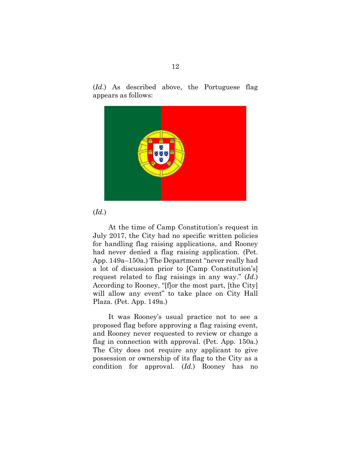(*Id.*) As described above, the Portuguese flag appears as follows:



## (*Id.*)

At the time of Camp Constitution's request in July 2017, the City had no specific written policies for handling flag raising applications, and Rooney had never denied a flag raising application. (Pet. App. 149a–150a.) The Department "never really had a lot of discussion prior to [Camp Constitution's] request related to flag raisings in any way." (*Id.*) According to Rooney, "[f]or the most part, [the City] will allow any event" to take place on City Hall Plaza. (Pet. App. 149a.)

It was Rooney's usual practice not to see a proposed flag before approving a flag raising event, and Rooney never requested to review or change a flag in connection with approval. (Pet. App. 150a.) The City does not require any applicant to give possession or ownership of its flag to the City as a condition for approval. (*Id.*) Rooney has no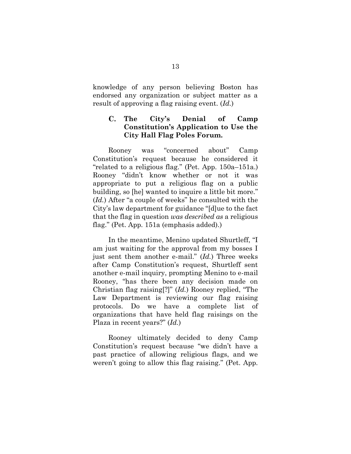knowledge of any person believing Boston has endorsed any organization or subject matter as a result of approving a flag raising event. (*Id.*)

#### $\mathbf{C}$ . **The City's Denial of Camp Constitution's Application to Use the City Hall Flag Poles Forum.**

Rooney was "concerned about" Camp Constitution's request because he considered it "related to a religious flag." (Pet. App. 150a–151a.) Rooney "didn't know whether or not it was appropriate to put a religious flag on a public building, so [he] wanted to inquire a little bit more." (*Id.*) After "a couple of weeks" he consulted with the City's law department for guidance "[d]ue to the fact that the flag in question *was described as* a religious flag." (Pet. App. 151a (emphasis added).)

In the meantime, Menino updated Shurtleff, "I am just waiting for the approval from my bosses I just sent them another e-mail." (*Id.*) Three weeks after Camp Constitution's request, Shurtleff sent another e-mail inquiry, prompting Menino to e-mail Rooney, "has there been any decision made on Christian flag raising[?]" (*Id.*) Rooney replied, "The Law Department is reviewing our flag raising protocols. Do we have a complete list of organizations that have held flag raisings on the Plaza in recent years?" (*Id.*)

Rooney ultimately decided to deny Camp Constitution's request because "we didn't have a past practice of allowing religious flags, and we weren't going to allow this flag raising." (Pet. App.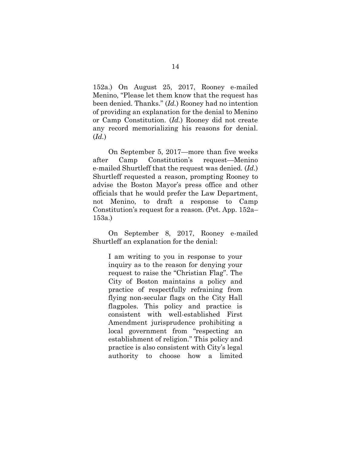152a.) On August 25, 2017, Rooney e-mailed Menino, "Please let them know that the request has been denied. Thanks." (*Id.*) Rooney had no intention of providing an explanation for the denial to Menino or Camp Constitution. (*Id.*) Rooney did not create any record memorializing his reasons for denial. (*Id.*)

On September 5, 2017—more than five weeks after Camp Constitution's request—Menino e-mailed Shurtleff that the request was denied. (*Id.*) Shurtleff requested a reason, prompting Rooney to advise the Boston Mayor's press office and other officials that he would prefer the Law Department, not Menino, to draft a response to Camp Constitution's request for a reason. (Pet. App. 152a– 153a.)

On September 8, 2017, Rooney e-mailed Shurtleff an explanation for the denial:

I am writing to you in response to your inquiry as to the reason for denying your request to raise the "Christian Flag". The City of Boston maintains a policy and practice of respectfully refraining from flying non-secular flags on the City Hall flagpoles. This policy and practice is consistent with well-established First Amendment jurisprudence prohibiting a local government from "respecting an establishment of religion." This policy and practice is also consistent with City's legal authority to choose how a limited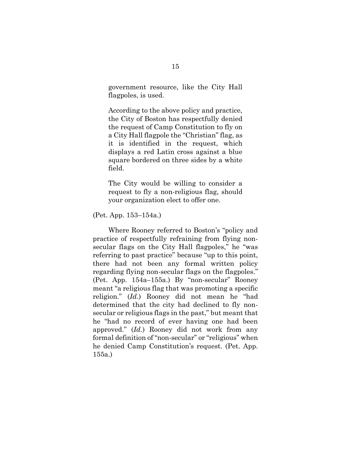government resource, like the City Hall flagpoles, is used.

According to the above policy and practice, the City of Boston has respectfully denied the request of Camp Constitution to fly on a City Hall flagpole the "Christian" flag, as it is identified in the request, which displays a red Latin cross against a blue square bordered on three sides by a white field.

The City would be willing to consider a request to fly a non-religious flag, should your organization elect to offer one.

(Pet. App. 153–154a.)

Where Rooney referred to Boston's "policy and practice of respectfully refraining from flying nonsecular flags on the City Hall flagpoles," he "was referring to past practice" because "up to this point, there had not been any formal written policy regarding flying non-secular flags on the flagpoles." (Pet. App. 154a–155a.) By "non-secular" Rooney meant "a religious flag that was promoting a specific religion." (*Id.*) Rooney did not mean he "had determined that the city had declined to fly nonsecular or religious flags in the past," but meant that he "had no record of ever having one had been approved." (*Id.*) Rooney did not work from any formal definition of "non-secular" or "religious" when he denied Camp Constitution's request. (Pet. App. 155a.)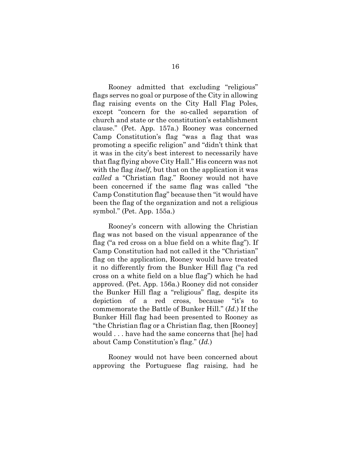Rooney admitted that excluding "religious" flags serves no goal or purpose of the City in allowing flag raising events on the City Hall Flag Poles, except "concern for the so-called separation of church and state or the constitution's establishment clause." (Pet. App. 157a.) Rooney was concerned Camp Constitution's flag "was a flag that was promoting a specific religion" and "didn't think that it was in the city's best interest to necessarily have that flag flying above City Hall." His concern was not with the flag *itself*, but that on the application it was *called* a "Christian flag." Rooney would not have been concerned if the same flag was called "the Camp Constitution flag" because then "it would have been the flag of the organization and not a religious symbol." (Pet. App. 155a.)

Rooney's concern with allowing the Christian flag was not based on the visual appearance of the flag ("a red cross on a blue field on a white flag"). If Camp Constitution had not called it the "Christian" flag on the application, Rooney would have treated it no differently from the Bunker Hill flag ("a red cross on a white field on a blue flag") which he had approved. (Pet. App. 156a.) Rooney did not consider the Bunker Hill flag a "religious" flag, despite its depiction of a red cross, because "it's to commemorate the Battle of Bunker Hill." (*Id.*) If the Bunker Hill flag had been presented to Rooney as "the Christian flag or a Christian flag, then [Rooney] would . . . have had the same concerns that [he] had about Camp Constitution's flag." (*Id.*)

Rooney would not have been concerned about approving the Portuguese flag raising, had he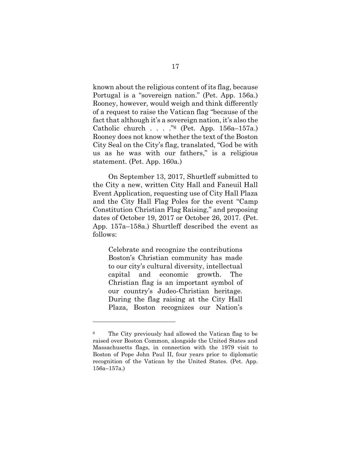known about the religious content of its flag, because Portugal is a "sovereign nation." (Pet. App. 156a.) Rooney, however, would weigh and think differently of a request to raise the Vatican flag "because of the fact that although it's a sovereign nation, it's also the Catholic church . . . . " $6$  (Pet. App. 156a–157a.) Rooney does not know whether the text of the Boston City Seal on the City's flag, translated, "God be with us as he was with our fathers," is a religious statement. (Pet. App. 160a.)

On September 13, 2017, Shurtleff submitted to the City a new, written City Hall and Faneuil Hall Event Application, requesting use of City Hall Plaza and the City Hall Flag Poles for the event "Camp Constitution Christian Flag Raising," and proposing dates of October 19, 2017 or October 26, 2017. (Pet. App. 157a–158a.) Shurtleff described the event as follows:

Celebrate and recognize the contributions Boston's Christian community has made to our city's cultural diversity, intellectual capital and economic growth. The Christian flag is an important symbol of our country's Judeo-Christian heritage. During the flag raising at the City Hall Plaza, Boston recognizes our Nation's

<sup>6</sup> The City previously had allowed the Vatican flag to be raised over Boston Common, alongside the United States and Massachusetts flags, in connection with the 1979 visit to Boston of Pope John Paul II, four years prior to diplomatic recognition of the Vatican by the United States. (Pet. App. 156a–157a.)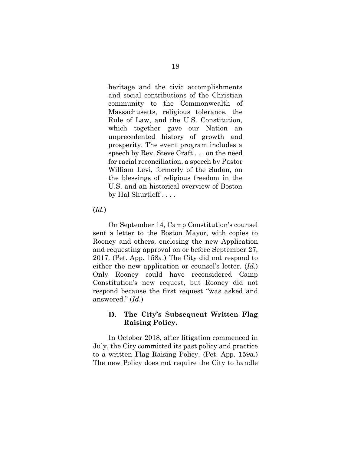heritage and the civic accomplishments and social contributions of the Christian community to the Commonwealth of Massachusetts, religious tolerance, the Rule of Law, and the U.S. Constitution, which together gave our Nation an unprecedented history of growth and prosperity. The event program includes a speech by Rev. Steve Craft . . . on the need for racial reconciliation, a speech by Pastor William Levi, formerly of the Sudan, on the blessings of religious freedom in the U.S. and an historical overview of Boston by Hal Shurtleff . . . .

### (*Id.*)

On September 14, Camp Constitution's counsel sent a letter to the Boston Mayor, with copies to Rooney and others, enclosing the new Application and requesting approval on or before September 27, 2017. (Pet. App. 158a.) The City did not respond to either the new application or counsel's letter. (*Id.*) Only Rooney could have reconsidered Camp Constitution's new request, but Rooney did not respond because the first request "was asked and answered." (*Id.*)

#### D. **The City's Subsequent Written Flag Raising Policy.**

In October 2018, after litigation commenced in July, the City committed its past policy and practice to a written Flag Raising Policy. (Pet. App. 159a.) The new Policy does not require the City to handle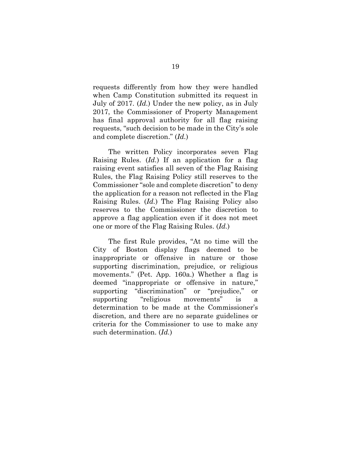requests differently from how they were handled when Camp Constitution submitted its request in July of 2017. (*Id.*) Under the new policy, as in July 2017, the Commissioner of Property Management has final approval authority for all flag raising requests, "such decision to be made in the City's sole and complete discretion." (*Id.*)

The written Policy incorporates seven Flag Raising Rules. (*Id.*) If an application for a flag raising event satisfies all seven of the Flag Raising Rules, the Flag Raising Policy still reserves to the Commissioner "sole and complete discretion" to deny the application for a reason not reflected in the Flag Raising Rules. (*Id.*) The Flag Raising Policy also reserves to the Commissioner the discretion to approve a flag application even if it does not meet one or more of the Flag Raising Rules. (*Id.*)

The first Rule provides, "At no time will the City of Boston display flags deemed to be inappropriate or offensive in nature or those supporting discrimination, prejudice, or religious movements." (Pet. App. 160a.) Whether a flag is deemed "inappropriate or offensive in nature," supporting "discrimination" or "prejudice," or supporting "religious movements" is a determination to be made at the Commissioner's discretion, and there are no separate guidelines or criteria for the Commissioner to use to make any such determination. (*Id.*)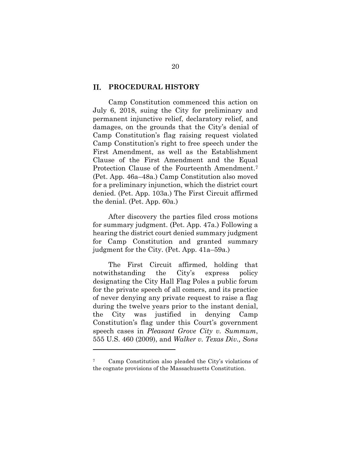#### П. **PROCEDURAL HISTORY**

Camp Constitution commenced this action on July 6, 2018, suing the City for preliminary and permanent injunctive relief, declaratory relief, and damages, on the grounds that the City's denial of Camp Constitution's flag raising request violated Camp Constitution's right to free speech under the First Amendment, as well as the Establishment Clause of the First Amendment and the Equal Protection Clause of the Fourteenth Amendment.<sup>7</sup> (Pet. App. 46a–48a.) Camp Constitution also moved for a preliminary injunction, which the district court denied. (Pet. App. 103a.) The First Circuit affirmed the denial. (Pet. App. 60a.)

After discovery the parties filed cross motions for summary judgment. (Pet. App. 47a.) Following a hearing the district court denied summary judgment for Camp Constitution and granted summary judgment for the City. (Pet. App. 41a–59a.)

The First Circuit affirmed, holding that notwithstanding the City's express policy designating the City Hall Flag Poles a public forum for the private speech of all comers, and its practice of never denying any private request to raise a flag during the twelve years prior to the instant denial, the City was justified in denying Camp Constitution's flag under this Court's government speech cases in *Pleasant Grove City v. Summum*, 555 U.S. 460 (2009), and *Walker v. Texas Div., Sons* 

Camp Constitution also pleaded the City's violations of the cognate provisions of the Massachusetts Constitution.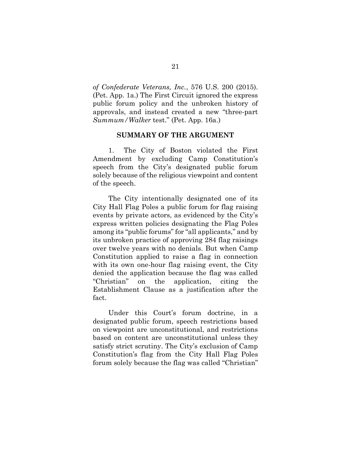*of Confederate Veterans, Inc.*, 576 U.S. 200 (2015). (Pet. App. 1a.) The First Circuit ignored the express public forum policy and the unbroken history of approvals, and instead created a new "three-part *Summum/Walker* test." (Pet. App. 16a.)

#### **SUMMARY OF THE ARGUMENT**

1. The City of Boston violated the First Amendment by excluding Camp Constitution's speech from the City's designated public forum solely because of the religious viewpoint and content of the speech.

The City intentionally designated one of its City Hall Flag Poles a public forum for flag raising events by private actors, as evidenced by the City's express written policies designating the Flag Poles among its "public forums" for "all applicants," and by its unbroken practice of approving 284 flag raisings over twelve years with no denials. But when Camp Constitution applied to raise a flag in connection with its own one-hour flag raising event, the City denied the application because the flag was called "Christian" on the application, citing the Establishment Clause as a justification after the fact.

Under this Court's forum doctrine, in a designated public forum, speech restrictions based on viewpoint are unconstitutional, and restrictions based on content are unconstitutional unless they satisfy strict scrutiny. The City's exclusion of Camp Constitution's flag from the City Hall Flag Poles forum solely because the flag was called "Christian"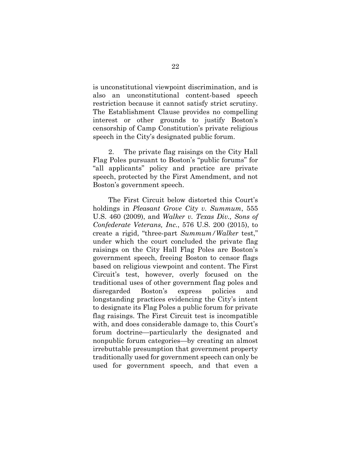is unconstitutional viewpoint discrimination, and is also an unconstitutional content-based speech restriction because it cannot satisfy strict scrutiny. The Establishment Clause provides no compelling interest or other grounds to justify Boston's censorship of Camp Constitution's private religious speech in the City's designated public forum.

2. The private flag raisings on the City Hall Flag Poles pursuant to Boston's "public forums" for "all applicants" policy and practice are private speech, protected by the First Amendment, and not Boston's government speech.

The First Circuit below distorted this Court's holdings in *Pleasant Grove City v. Summum*, 555 U.S. 460 (2009), and *Walker v. Texas Div., Sons of Confederate Veterans, Inc.*, 576 U.S. 200 (2015), to create a rigid, "three-part *Summum/Walker* test," under which the court concluded the private flag raisings on the City Hall Flag Poles are Boston's government speech, freeing Boston to censor flags based on religious viewpoint and content. The First Circuit's test, however, overly focused on the traditional uses of other government flag poles and disregarded Boston's express policies and longstanding practices evidencing the City's intent to designate its Flag Poles a public forum for private flag raisings. The First Circuit test is incompatible with, and does considerable damage to, this Court's forum doctrine—particularly the designated and nonpublic forum categories—by creating an almost irrebuttable presumption that government property traditionally used for government speech can only be used for government speech, and that even a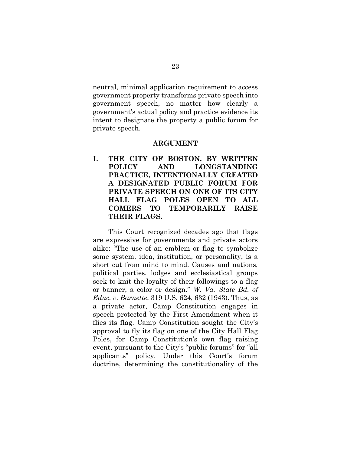neutral, minimal application requirement to access government property transforms private speech into government speech, no matter how clearly a government's actual policy and practice evidence its intent to designate the property a public forum for private speech.

### **ARGUMENT**

T. **THE CITY OF BOSTON, BY WRITTEN POLICY AND LONGSTANDING PRACTICE, INTENTIONALLY CREATED A DESIGNATED PUBLIC FORUM FOR PRIVATE SPEECH ON ONE OF ITS CITY HALL FLAG POLES OPEN TO ALL COMERS TO TEMPORARILY RAISE THEIR FLAGS.**

This Court recognized decades ago that flags are expressive for governments and private actors alike: "The use of an emblem or flag to symbolize some system, idea, institution, or personality, is a short cut from mind to mind. Causes and nations, political parties, lodges and ecclesiastical groups seek to knit the loyalty of their followings to a flag or banner, a color or design." *W. Va. State Bd. of Educ. v. Barnette*, 319 U.S. 624, 632 (1943). Thus, as a private actor, Camp Constitution engages in speech protected by the First Amendment when it flies its flag. Camp Constitution sought the City's approval to fly its flag on one of the City Hall Flag Poles, for Camp Constitution's own flag raising event, pursuant to the City's "public forums" for "all applicants" policy. Under this Court's forum doctrine, determining the constitutionality of the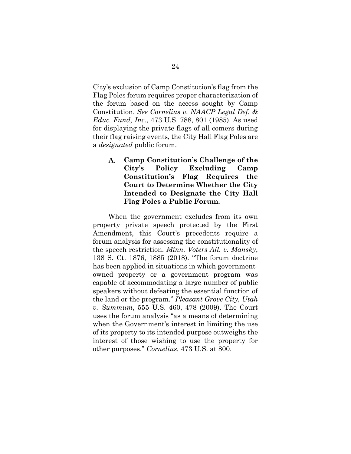City's exclusion of Camp Constitution's flag from the Flag Poles forum requires proper characterization of the forum based on the access sought by Camp Constitution. *See Cornelius v. NAACP Legal Def. & Educ. Fund, Inc.*, 473 U.S. 788, 801 (1985). As used for displaying the private flags of all comers during their flag raising events, the City Hall Flag Poles are a *designated* public forum.

A. **Camp Constitution's Challenge of the City's Policy Excluding Camp Constitution's Flag Requires the Court to Determine Whether the City Intended to Designate the City Hall Flag Poles a Public Forum.** 

When the government excludes from its own property private speech protected by the First Amendment, this Court's precedents require a forum analysis for assessing the constitutionality of the speech restriction. *Minn. Voters All. v. Mansky*, 138 S. Ct. 1876, 1885 (2018). "The forum doctrine has been applied in situations in which governmentowned property or a government program was capable of accommodating a large number of public speakers without defeating the essential function of the land or the program." *Pleasant Grove City, Utah v. Summum*, 555 U.S. 460, 478 (2009). The Court uses the forum analysis "as a means of determining when the Government's interest in limiting the use of its property to its intended purpose outweighs the interest of those wishing to use the property for other purposes." *Cornelius*, 473 U.S. at 800.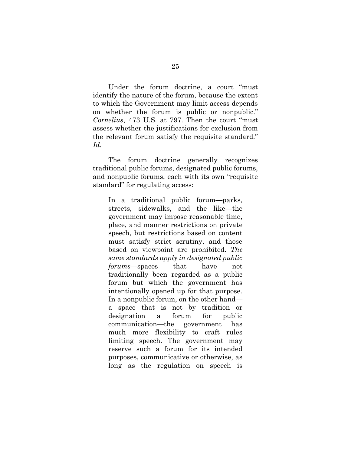Under the forum doctrine, a court "must identify the nature of the forum, because the extent to which the Government may limit access depends on whether the forum is public or nonpublic." *Cornelius*, 473 U.S. at 797. Then the court "must assess whether the justifications for exclusion from the relevant forum satisfy the requisite standard." *Id.*

The forum doctrine generally recognizes traditional public forums, designated public forums, and nonpublic forums, each with its own "requisite standard" for regulating access:

In a traditional public forum—parks, streets, sidewalks, and the like—the government may impose reasonable time, place, and manner restrictions on private speech, but restrictions based on content must satisfy strict scrutiny, and those based on viewpoint are prohibited. *The same standards apply in designated public forums*—spaces that have not traditionally been regarded as a public forum but which the government has intentionally opened up for that purpose. In a nonpublic forum, on the other hand a space that is not by tradition or designation a forum for public communication—the government has much more flexibility to craft rules limiting speech. The government may reserve such a forum for its intended purposes, communicative or otherwise, as long as the regulation on speech is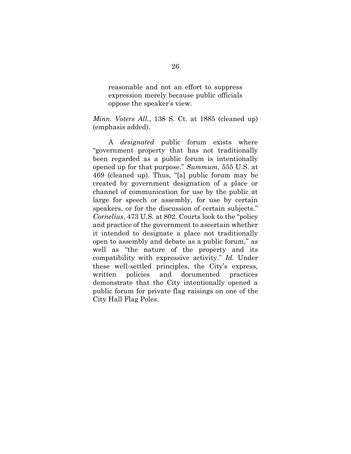reasonable and not an effort to suppress expression merely because public officials oppose the speaker's view.

*Minn. Voters All.*, 138 S. Ct. at 1885 (cleaned up) (emphasis added).

A *designated* public forum exists where "government property that has not traditionally been regarded as a public forum is intentionally opened up for that purpose." *Summum*, 555 U.S. at 469 (cleaned up). Thus, "[a] public forum may be created by government designation of a place or channel of communication for use by the public at large for speech or assembly, for use by certain speakers, or for the discussion of certain subjects." *Cornelius*, 473 U.S. at 802. Courts look to the "policy and practice of the government to ascertain whether it intended to designate a place not traditionally open to assembly and debate as a public forum," as well as "the nature of the property and its compatibility with expressive activity." *Id.* Under these well-settled principles, the City's express, written policies and documented practices demonstrate that the City intentionally opened a public forum for private flag raisings on one of the City Hall Flag Poles.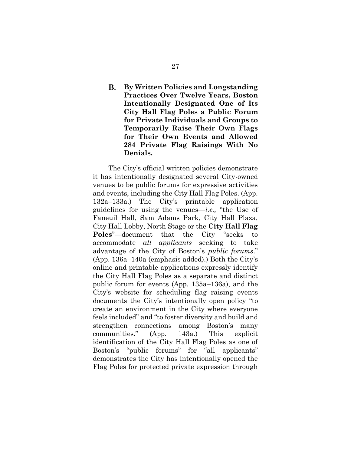### В. **By Written Policies and Longstanding Practices Over Twelve Years, Boston Intentionally Designated One of Its City Hall Flag Poles a Public Forum for Private Individuals and Groups to Temporarily Raise Their Own Flags for Their Own Events and Allowed 284 Private Flag Raisings With No Denials.**

The City's official written policies demonstrate it has intentionally designated several City-owned venues to be public forums for expressive activities and events, including the City Hall Flag Poles. (App. 132a–133a.) The City's printable application guidelines for using the venues—*i.e.,* "the Use of Faneuil Hall, Sam Adams Park, City Hall Plaza, City Hall Lobby, North Stage or the **City Hall Flag Poles**"—document that the City "seeks to accommodate *all applicants* seeking to take advantage of the City of Boston's *public forums*." (App. 136a–140a (emphasis added).) Both the City's online and printable applications expressly identify the City Hall Flag Poles as a separate and distinct public forum for events (App. 135a–136a), and the City's website for scheduling flag raising events documents the City's intentionally open policy "to create an environment in the City where everyone feels included" and "to foster diversity and build and strengthen connections among Boston's many communities." (App. 143a.) This explicit identification of the City Hall Flag Poles as one of Boston's "public forums" for "all applicants" demonstrates the City has intentionally opened the Flag Poles for protected private expression through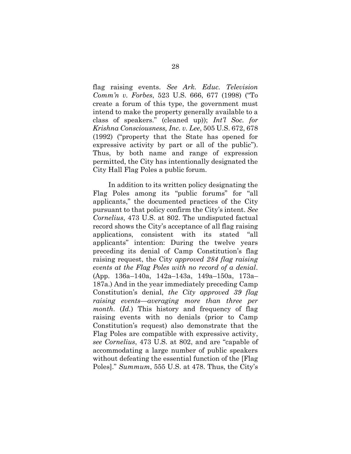flag raising events. *See Ark. Educ. Television Comm'n v. Forbes*, 523 U.S. 666, 677 (1998) ("To create a forum of this type, the government must intend to make the property generally available to a class of speakers." (cleaned up)); *Int'l Soc. for Krishna Consciousness, Inc. v. Lee*, 505 U.S. 672, 678 (1992) ("property that the State has opened for expressive activity by part or all of the public"). Thus, by both name and range of expression permitted, the City has intentionally designated the City Hall Flag Poles a public forum.

In addition to its written policy designating the Flag Poles among its "public forums" for "all applicants," the documented practices of the City pursuant to that policy confirm the City's intent. *See Cornelius*, 473 U.S. at 802. The undisputed factual record shows the City's acceptance of all flag raising applications, consistent with its stated "all applicants" intention: During the twelve years preceding its denial of Camp Constitution's flag raising request, the City *approved 284 flag raising events at the Flag Poles with no record of a denial*. (App. 136a–140a, 142a–143a, 149a–150a, 173a– 187a.) And in the year immediately preceding Camp Constitution's denial, *the City approved 39 flag raising events—averaging more than three per month.* (*Id.*) This history and frequency of flag raising events with no denials (prior to Camp Constitution's request) also demonstrate that the Flag Poles are compatible with expressive activity, *see Cornelius*, 473 U.S. at 802, and are "capable of accommodating a large number of public speakers without defeating the essential function of the [Flag Poles]." *Summum*, 555 U.S. at 478. Thus, the City's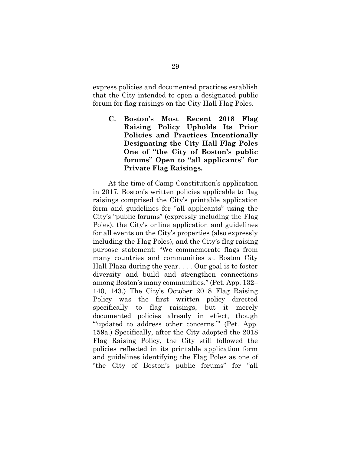express policies and documented practices establish that the City intended to open a designated public forum for flag raisings on the City Hall Flag Poles.

 $\mathbf{C}$ . **Boston's Most Recent 2018 Flag Raising Policy Upholds Its Prior Policies and Practices Intentionally Designating the City Hall Flag Poles One of "the City of Boston's public forums" Open to "all applicants" for Private Flag Raisings.**

At the time of Camp Constitution's application in 2017, Boston's written policies applicable to flag raisings comprised the City's printable application form and guidelines for "all applicants" using the City's "public forums" (expressly including the Flag Poles), the City's online application and guidelines for all events on the City's properties (also expressly including the Flag Poles), and the City's flag raising purpose statement: "We commemorate flags from many countries and communities at Boston City Hall Plaza during the year. . . . Our goal is to foster diversity and build and strengthen connections among Boston's many communities." (Pet. App. 132– 140, 143.) The City's October 2018 Flag Raising Policy was the first written policy directed specifically to flag raisings, but it merely documented policies already in effect, though "'updated to address other concerns.'" (Pet. App. 159a.) Specifically, after the City adopted the 2018 Flag Raising Policy, the City still followed the policies reflected in its printable application form and guidelines identifying the Flag Poles as one of "the City of Boston's public forums" for "all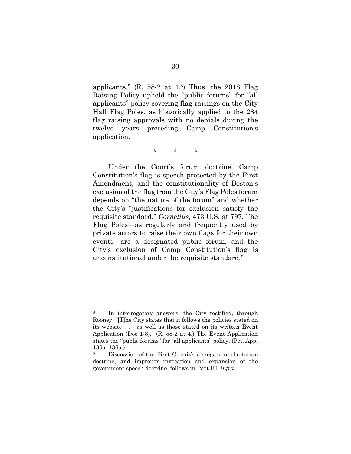applicants." (R. 58-2 at 4. <sup>8</sup>) Thus, the 2018 Flag Raising Policy upheld the "public forums" for "all applicants" policy covering flag raisings on the City Hall Flag Poles, as historically applied to the 284 flag raising approvals with no denials during the twelve years preceding Camp Constitution's application.

\* \* \*

Under the Court's forum doctrine, Camp Constitution's flag is speech protected by the First Amendment, and the constitutionality of Boston's exclusion of the flag from the City's Flag Poles forum depends on "the nature of the forum" and whether the City's "justifications for exclusion satisfy the requisite standard." *Cornelius*, 473 U.S. at 797. The Flag Poles—as regularly and frequently used by private actors to raise their own flags for their own events—are a designated public forum, and the City's exclusion of Camp Constitution's flag is unconstitutional under the requisite standard. 9

<sup>8</sup> In interrogatory answers, the City testified, through Rooney: "[T]he City states that it follows the policies stated on its website *. . .* as well as those stated on its written Event Application (Doc 1-8)." (R. 58-2 at 4.) The Event Application states the "public forums" for "all applicants" policy. (Pet. App. 135a–136a.)

<sup>9</sup> Discussion of the First Circuit's disregard of the forum doctrine, and improper invocation and expansion of the government speech doctrine, follows in Part III, *infra*.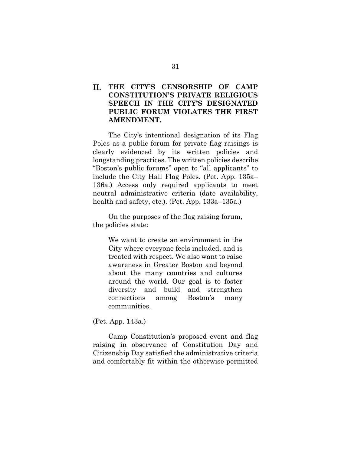#### II. **THE CITY'S CENSORSHIP OF CAMP CONSTITUTION'S PRIVATE RELIGIOUS SPEECH IN THE CITY'S DESIGNATED PUBLIC FORUM VIOLATES THE FIRST AMENDMENT.**

The City's intentional designation of its Flag Poles as a public forum for private flag raisings is clearly evidenced by its written policies and longstanding practices. The written policies describe "Boston's public forums" open to "all applicants" to include the City Hall Flag Poles. (Pet. App. 135a– 136a.) Access only required applicants to meet neutral administrative criteria (date availability, health and safety, etc.). (Pet. App. 133a–135a.)

On the purposes of the flag raising forum, the policies state:

> We want to create an environment in the City where everyone feels included, and is treated with respect. We also want to raise awareness in Greater Boston and beyond about the many countries and cultures around the world. Our goal is to foster diversity and build and strengthen connections among Boston's many communities.

(Pet. App. 143a.)

Camp Constitution's proposed event and flag raising in observance of Constitution Day and Citizenship Day satisfied the administrative criteria and comfortably fit within the otherwise permitted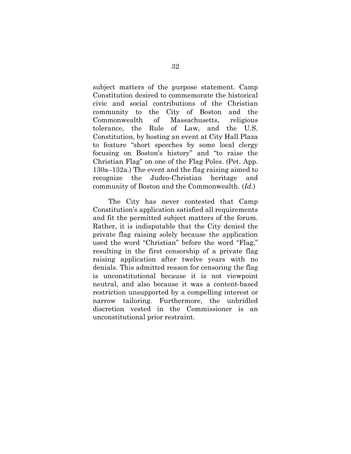subject matters of the purpose statement. Camp Constitution desired to commemorate the historical civic and social contributions of the Christian community to the City of Boston and the Commonwealth of Massachusetts, religious tolerance, the Rule of Law, and the U.S. Constitution, by hosting an event at City Hall Plaza to feature "short speeches by some local clergy focusing on Boston's history" and "to raise the Christian Flag" on one of the Flag Poles. (Pet. App. 130a–132a.) The event and the flag raising aimed to recognize the Judeo-Christian heritage and community of Boston and the Commonwealth. (*Id.*)

The City has never contested that Camp Constitution's application satisfied all requirements and fit the permitted subject matters of the forum. Rather, it is indisputable that the City denied the private flag raising solely because the application used the word "Christian" before the word "Flag," resulting in the first censorship of a private flag raising application after twelve years with no denials. This admitted reason for censoring the flag is unconstitutional because it is not viewpoint neutral, and also because it was a content-based restriction unsupported by a compelling interest or narrow tailoring. Furthermore, the unbridled discretion vested in the Commissioner is an unconstitutional prior restraint.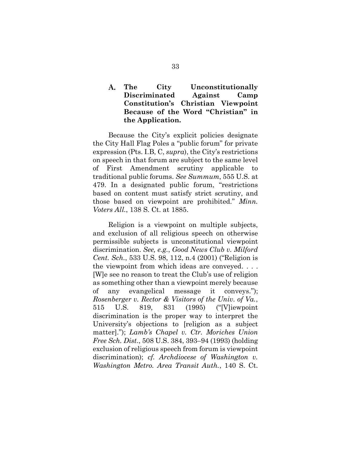#### **The City Unconstitutionally**  A. **Discriminated Against Camp Constitution's Christian Viewpoint Because of the Word "Christian" in the Application.**

Because the City's explicit policies designate the City Hall Flag Poles a "public forum" for private expression (Pts. I.B, C, *supra*), the City's restrictions on speech in that forum are subject to the same level of First Amendment scrutiny applicable to traditional public forums. *See Summum*, 555 U.S. at 479. In a designated public forum, "restrictions based on content must satisfy strict scrutiny, and those based on viewpoint are prohibited." *Minn. Voters All.*, 138 S. Ct. at 1885.

Religion is a viewpoint on multiple subjects, and exclusion of all religious speech on otherwise permissible subjects is unconstitutional viewpoint discrimination. *See, e.g.*, *Good News Club v. Milford Cent. Sch.*, 533 U.S. 98, 112, n.4 (2001) ("Religion is the viewpoint from which ideas are conveyed. . . . [W]e see no reason to treat the Club's use of religion as something other than a viewpoint merely because of any evangelical message it conveys."); *Rosenberger v. Rector & Visitors of the Univ. of Va.*, 515 U.S. 819, 831 (1995) ("[V]iewpoint discrimination is the proper way to interpret the University's objections to [religion as a subject matter]."); *Lamb's Chapel v. Ctr. Moriches Union Free Sch. Dist*., 508 U.S. 384, 393–94 (1993) (holding exclusion of religious speech from forum is viewpoint discrimination); *cf. Archdiocese of Washington v. Washington Metro. Area Transit Auth.*, 140 S. Ct.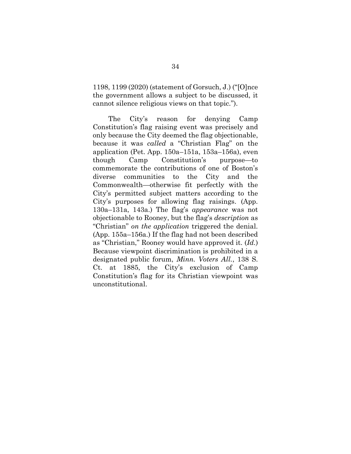1198, 1199 (2020) (statement of Gorsuch, J.) ("[O]nce the government allows a subject to be discussed, it cannot silence religious views on that topic.").

The City's reason for denying Camp Constitution's flag raising event was precisely and only because the City deemed the flag objectionable, because it was *called* a "Christian Flag" on the application (Pet. App. 150a–151a, 153a–156a), even though Camp Constitution's purpose—to commemorate the contributions of one of Boston's diverse communities to the City and the Commonwealth—otherwise fit perfectly with the City's permitted subject matters according to the City's purposes for allowing flag raisings. (App. 130a–131a, 143a.) The flag's *appearance* was not objectionable to Rooney, but the flag's *description* as "Christian" *on the application* triggered the denial. (App. 155a–156a.) If the flag had not been described as "Christian," Rooney would have approved it. (*Id.*) Because viewpoint discrimination is prohibited in a designated public forum, *Minn. Voters All.*, 138 S. Ct. at 1885, the City's exclusion of Camp Constitution's flag for its Christian viewpoint was unconstitutional.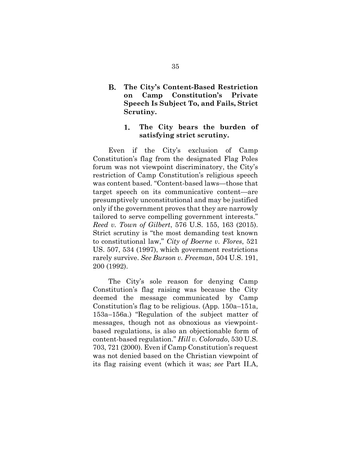**B. The City's Content-Based Restriction on Camp Constitution's Private Speech Is Subject To, and Fails, Strict Scrutiny.**

#### 1. **The City bears the burden of satisfying strict scrutiny.**

Even if the City's exclusion of Camp Constitution's flag from the designated Flag Poles forum was not viewpoint discriminatory, the City's restriction of Camp Constitution's religious speech was content based. "Content-based laws—those that target speech on its communicative content—are presumptively unconstitutional and may be justified only if the government proves that they are narrowly tailored to serve compelling government interests." *Reed v. Town of Gilbert*, 576 U.S. 155, 163 (2015). Strict scrutiny is "the most demanding test known to constitutional law," *City of Boerne v. Flores*, 521 US. 507, 534 (1997), which government restrictions rarely survive. *See Burson v. Freeman*, 504 U.S. 191, 200 (1992).

The City's sole reason for denying Camp Constitution's flag raising was because the City deemed the message communicated by Camp Constitution's flag to be religious. (App. 150a–151a, 153a–156a.) "Regulation of the subject matter of messages, though not as obnoxious as viewpointbased regulations, is also an objectionable form of content-based regulation." *Hill v. Colorado*, 530 U.S. 703, 721 (2000). Even if Camp Constitution's request was not denied based on the Christian viewpoint of its flag raising event (which it was; *see* Part II.A,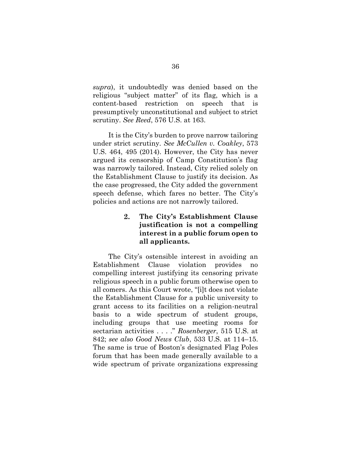*supra*), it undoubtedly was denied based on the religious "subject matter" of its flag, which is a content-based restriction on speech that is presumptively unconstitutional and subject to strict scrutiny. *See Reed*, 576 U.S. at 163.

It is the City's burden to prove narrow tailoring under strict scrutiny. *See McCullen v. Coakley*, 573 U.S. 464, 495 (2014). However, the City has never argued its censorship of Camp Constitution's flag was narrowly tailored. Instead, City relied solely on the Establishment Clause to justify its decision. As the case progressed, the City added the government speech defense, which fares no better. The City's policies and actions are not narrowly tailored.

#### 2. **The City's Establishment Clause justification is not a compelling interest in a public forum open to all applicants.**

The City's ostensible interest in avoiding an Establishment Clause violation provides no compelling interest justifying its censoring private religious speech in a public forum otherwise open to all comers. As this Court wrote, "[i]t does not violate the Establishment Clause for a public university to grant access to its facilities on a religion-neutral basis to a wide spectrum of student groups, including groups that use meeting rooms for sectarian activities . . . ." *Rosenberger*, 515 U.S. at 842; *see also Good News Club*, 533 U.S. at 114–15. The same is true of Boston's designated Flag Poles forum that has been made generally available to a wide spectrum of private organizations expressing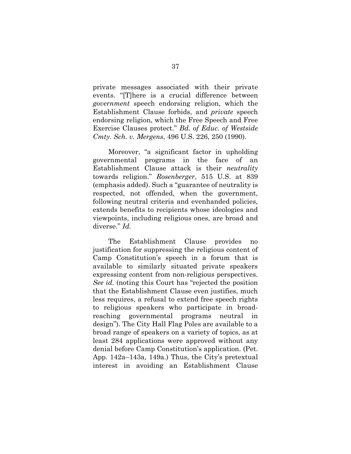private messages associated with their private events. "[T]here is a crucial difference between *government* speech endorsing religion, which the Establishment Clause forbids, and *private* speech endorsing religion, which the Free Speech and Free Exercise Clauses protect." *Bd. of Educ. of Westside Cmty. Sch. v. Mergens*, 496 U.S. 226, 250 (1990).

Moreover, "a significant factor in upholding governmental programs in the face of an Establishment Clause attack is their *neutrality* towards religion." *Rosenberger*, 515 U.S. at 839 (emphasis added). Such a "guarantee of neutrality is respected, not offended, when the government, following neutral criteria and evenhanded policies, extends benefits to recipients whose ideologies and viewpoints, including religious ones, are broad and diverse." *Id.*

The Establishment Clause provides no justification for suppressing the religious content of Camp Constitution's speech in a forum that is available to similarly situated private speakers expressing content from non-religious perspectives. *See id.* (noting this Court has "rejected the position that the Establishment Clause even justifies, much less requires, a refusal to extend free speech rights to religious speakers who participate in broadreaching governmental programs neutral in design"). The City Hall Flag Poles are available to a broad range of speakers on a variety of topics, as at least 284 applications were approved without any denial before Camp Constitution's application. (Pet. App. 142a–143a, 149a.) Thus, the City's pretextual interest in avoiding an Establishment Clause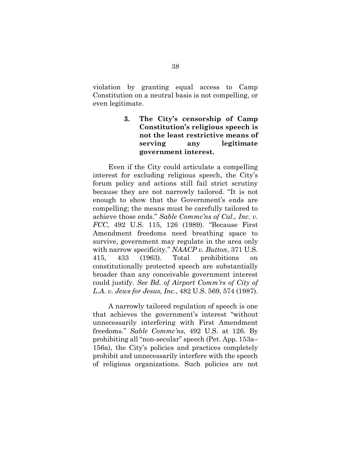violation by granting equal access to Camp Constitution on a neutral basis is not compelling, or even legitimate.

#### 3. **The City's censorship of Camp Constitution's religious speech is not the least restrictive means of serving any legitimate government interest.**

Even if the City could articulate a compelling interest for excluding religious speech, the City's forum policy and actions still fail strict scrutiny because they are not narrowly tailored. "It is not enough to show that the Government's ends are compelling; the means must be carefully tailored to achieve those ends." *Sable Commc'ns of Cal., Inc. v. FCC*, 492 U.S. 115, 126 (1989). "Because First Amendment freedoms need breathing space to survive, government may regulate in the area only with narrow specificity." *NAACP v. Button*, 371 U.S. 415, 433 (1963). Total prohibitions on constitutionally protected speech are substantially broader than any conceivable government interest could justify. *See Bd. of Airport Comm'rs of City of L.A. v. Jews for Jesus, Inc.*, 482 U.S. 569, 574 (1987).

A narrowly tailored regulation of speech is one that achieves the government's interest "without unnecessarily interfering with First Amendment freedoms." *Sable Commc'ns*, 492 U.S. at 126. By prohibiting all "non-secular" speech (Pet. App. 153a– 156a), the City's policies and practices completely prohibit and unnecessarily interfere with the speech of religious organizations. Such policies are not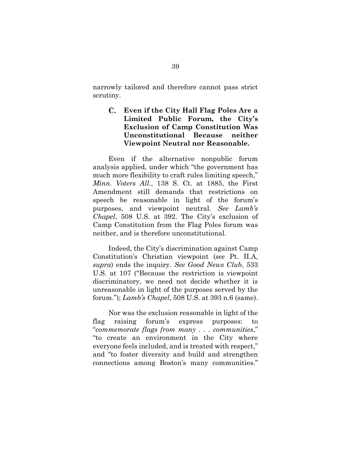narrowly tailored and therefore cannot pass strict scrutiny.

## **Even if the City Hall Flag Poles Are a Limited Public Forum, the City's Exclusion of Camp Constitution Was Unconstitutional Because neither Viewpoint Neutral nor Reasonable.**

Even if the alternative nonpublic forum analysis applied, under which "the government has much more flexibility to craft rules limiting speech," *Minn. Voters All.*, 138 S. Ct. at 1885, the First Amendment still demands that restrictions on speech be reasonable in light of the forum's purposes, and viewpoint neutral. *See Lamb's Chapel*, 508 U.S. at 392. The City's exclusion of Camp Constitution from the Flag Poles forum was neither, and is therefore unconstitutional.

Indeed, the City's discrimination against Camp Constitution's Christian viewpoint (*see* Pt. II.A, *supra*) ends the inquiry. *See Good News Club*, 533 U.S. at 107 ("Because the restriction is viewpoint discriminatory, we need not decide whether it is unreasonable in light of the purposes served by the forum."); *Lamb's Chapel*, 508 U.S. at 393 n.6 (same).

Nor was the exclusion reasonable in light of the flag raising forum's express purposes: to "*commemorate flags from many . . . communities*," "to create an environment in the City where everyone feels included, and is treated with respect," and "to foster diversity and build and strengthen connections among Boston's many communities."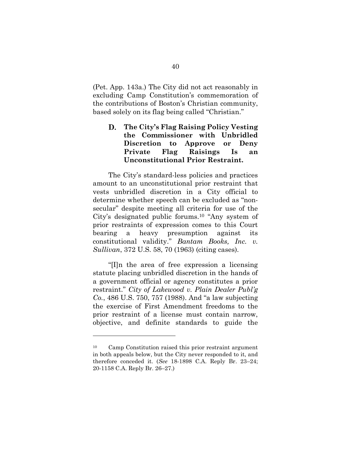(Pet. App. 143a.) The City did not act reasonably in excluding Camp Constitution's commemoration of the contributions of Boston's Christian community, based solely on its flag being called "Christian."

#### D. **The City's Flag Raising Policy Vesting the Commissioner with Unbridled Discretion to Approve or Deny Private Flag Raisings Is an Unconstitutional Prior Restraint.**

The City's standard-less policies and practices amount to an unconstitutional prior restraint that vests unbridled discretion in a City official to determine whether speech can be excluded as "nonsecular" despite meeting all criteria for use of the City's designated public forums. <sup>10</sup> "Any system of prior restraints of expression comes to this Court bearing a heavy presumption against its constitutional validity." *Bantam Books, Inc. v. Sullivan*, 372 U.S. 58, 70 (1963) (citing cases).

"[I]n the area of free expression a licensing statute placing unbridled discretion in the hands of a government official or agency constitutes a prior restraint." *City of Lakewood v. Plain Dealer Publ'g Co.*, 486 U.S. 750, 757 (1988). And "a law subjecting the exercise of First Amendment freedoms to the prior restraint of a license must contain narrow, objective, and definite standards to guide the

<sup>10</sup> Camp Constitution raised this prior restraint argument in both appeals below, but the City never responded to it, and therefore conceded it. (*See* 18-1898 C.A. Reply Br. 23–24; 20-1158 C.A. Reply Br. 26–27.)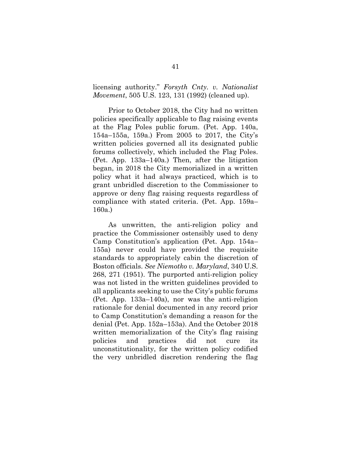licensing authority." *Forsyth Cnty. v. Nationalist Movement*, 505 U.S. 123, 131 (1992) (cleaned up).

Prior to October 2018, the City had no written policies specifically applicable to flag raising events at the Flag Poles public forum. (Pet. App. 140a, 154a–155a, 159a.) From 2005 to 2017, the City's written policies governed all its designated public forums collectively, which included the Flag Poles. (Pet. App. 133a–140a.) Then, after the litigation began, in 2018 the City memorialized in a written policy what it had always practiced, which is to grant unbridled discretion to the Commissioner to approve or deny flag raising requests regardless of compliance with stated criteria. (Pet. App. 159a– 160a.)

As unwritten, the anti-religion policy and practice the Commissioner ostensibly used to deny Camp Constitution's application (Pet. App. 154a– 155a) never could have provided the requisite standards to appropriately cabin the discretion of Boston officials. *See Niemotko v. Maryland*, 340 U.S. 268, 271 (1951). The purported anti-religion policy was not listed in the written guidelines provided to all applicants seeking to use the City's public forums (Pet. App. 133a–140a), nor was the anti-religion rationale for denial documented in any record prior to Camp Constitution's demanding a reason for the denial (Pet. App. 152a–153a). And the October 2018 written memorialization of the City's flag raising policies and practices did not cure its unconstitutionality, for the written policy codified the very unbridled discretion rendering the flag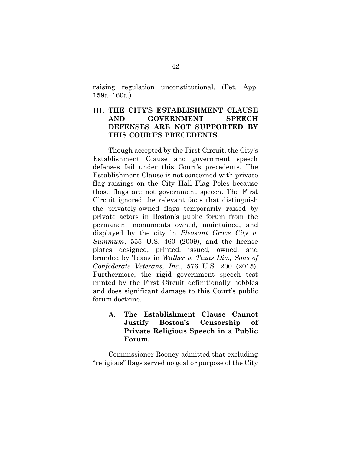raising regulation unconstitutional. (Pet. App. 159a–160a.)

# **THE CITY'S ESTABLISHMENT CLAUSE AND GOVERNMENT SPEECH DEFENSES ARE NOT SUPPORTED BY THIS COURT'S PRECEDENTS.**

Though accepted by the First Circuit, the City's Establishment Clause and government speech defenses fail under this Court's precedents. The Establishment Clause is not concerned with private flag raisings on the City Hall Flag Poles because those flags are not government speech. The First Circuit ignored the relevant facts that distinguish the privately-owned flags temporarily raised by private actors in Boston's public forum from the permanent monuments owned, maintained, and displayed by the city in *Pleasant Grove City v. Summum*, 555 U.S. 460 (2009), and the license plates designed, printed, issued, owned, and branded by Texas in *Walker v. Texas Div., Sons of Confederate Veterans, Inc.*, 576 U.S. 200 (2015). Furthermore, the rigid government speech test minted by the First Circuit definitionally hobbles and does significant damage to this Court's public forum doctrine.

**The Establishment Clause Cannot**  A. **Justify Boston's Censorship of Private Religious Speech in a Public Forum.**

Commissioner Rooney admitted that excluding "religious" flags served no goal or purpose of the City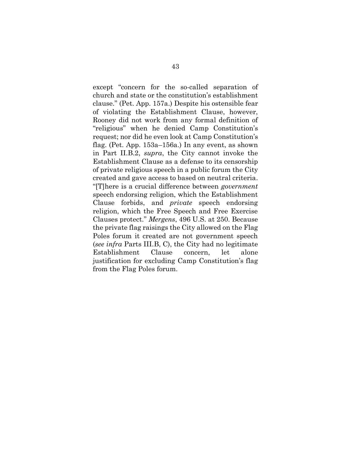except "concern for the so-called separation of church and state or the constitution's establishment clause." (Pet. App. 157a.) Despite his ostensible fear of violating the Establishment Clause, however, Rooney did not work from any formal definition of "religious" when he denied Camp Constitution's request; nor did he even look at Camp Constitution's flag. (Pet. App. 153a–156a.) In any event, as shown in Part II.B.2, *supra*, the City cannot invoke the Establishment Clause as a defense to its censorship of private religious speech in a public forum the City created and gave access to based on neutral criteria. "[T]here is a crucial difference between *government* speech endorsing religion, which the Establishment Clause forbids, and *private* speech endorsing religion, which the Free Speech and Free Exercise Clauses protect." *Mergens*, 496 U.S. at 250. Because the private flag raisings the City allowed on the Flag Poles forum it created are not government speech (*see infra* Parts III.B, C), the City had no legitimate Establishment Clause concern, let alone justification for excluding Camp Constitution's flag from the Flag Poles forum.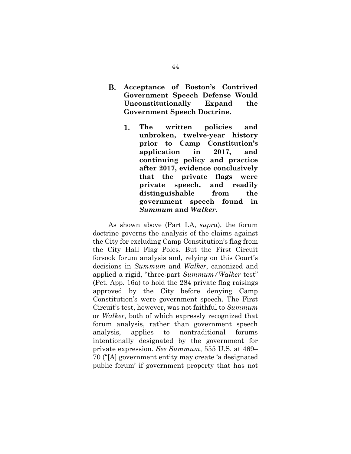- **B. Acceptance of Boston's Contrived Government Speech Defense Would Unconstitutionally Expand the Government Speech Doctrine.**
	- **The written policies and**  1. **unbroken, twelve-year history prior to Camp Constitution's application in 2017, and continuing policy and practice after 2017, evidence conclusively that the private flags were private speech, and readily distinguishable from the government speech found in**  *Summum* **and** *Walker***.**

As shown above (Part I.A, *supra*), the forum doctrine governs the analysis of the claims against the City for excluding Camp Constitution's flag from the City Hall Flag Poles. But the First Circuit forsook forum analysis and, relying on this Court's decisions in *Summum* and *Walker*, canonized and applied a rigid, "three-part *Summum/Walker* test" (Pet. App. 16a) to hold the 284 private flag raisings approved by the City before denying Camp Constitution's were government speech. The First Circuit's test, however, was not faithful to *Summum*  or *Walker*, both of which expressly recognized that forum analysis, rather than government speech analysis, applies to nontraditional forums intentionally designated by the government for private expression. *See Summum*, 555 U.S. at 469– 70 ("[A] government entity may create 'a designated public forum' if government property that has not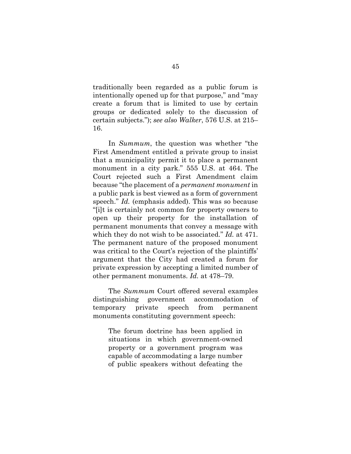traditionally been regarded as a public forum is intentionally opened up for that purpose," and "may create a forum that is limited to use by certain groups or dedicated solely to the discussion of certain subjects."); *see also Walker*, 576 U.S. at 215– 16.

In *Summum*, the question was whether "the First Amendment entitled a private group to insist that a municipality permit it to place a permanent monument in a city park." 555 U.S. at 464. The Court rejected such a First Amendment claim because "the placement of a *permanent monument* in a public park is best viewed as a form of government speech." *Id.* (emphasis added). This was so because "[i]t is certainly not common for property owners to open up their property for the installation of permanent monuments that convey a message with which they do not wish to be associated." *Id.* at 471. The permanent nature of the proposed monument was critical to the Court's rejection of the plaintiffs' argument that the City had created a forum for private expression by accepting a limited number of other permanent monuments. *Id.* at 478–79.

The *Summum* Court offered several examples distinguishing government accommodation of temporary private speech from permanent monuments constituting government speech:

The forum doctrine has been applied in situations in which government-owned property or a government program was capable of accommodating a large number of public speakers without defeating the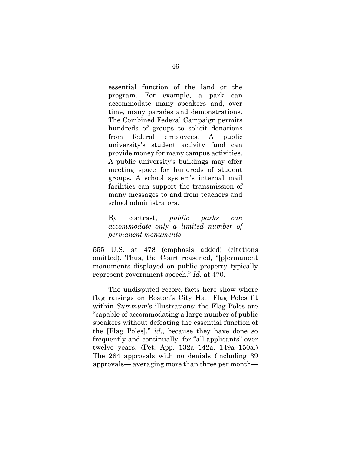essential function of the land or the program. For example, a park can accommodate many speakers and, over time, many parades and demonstrations. The Combined Federal Campaign permits hundreds of groups to solicit donations from federal employees. A public university's student activity fund can provide money for many campus activities. A public university's buildings may offer meeting space for hundreds of student groups. A school system's internal mail facilities can support the transmission of many messages to and from teachers and school administrators.

By contrast, *public parks can accommodate only a limited number of permanent monuments*.

555 U.S. at 478 (emphasis added) (citations omitted). Thus, the Court reasoned, "[p]ermanent monuments displayed on public property typically represent government speech." *Id.* at 470.

The undisputed record facts here show where flag raisings on Boston's City Hall Flag Poles fit within *Summum*'s illustrations: the Flag Poles are "capable of accommodating a large number of public speakers without defeating the essential function of the [Flag Poles]," *id.*, because they have done so frequently and continually, for "all applicants" over twelve years. (Pet. App. 132a–142a, 149a–150a.) The 284 approvals with no denials (including 39 approvals— averaging more than three per month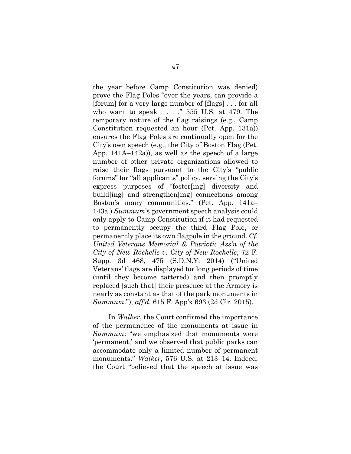the year before Camp Constitution was denied) prove the Flag Poles "over the years, can provide a [forum] for a very large number of [flags] . . . for all who want to speak . . . ." 555 U.S. at 479. The temporary nature of the flag raisings (e.g., Camp Constitution requested an hour (Pet. App. 131a)) ensures the Flag Poles are continually open for the City's own speech (e.g., the City of Boston Flag (Pet. App. 141A–142a)), as well as the speech of a large number of other private organizations allowed to raise their flags pursuant to the City's "public forums" for "all applicants" policy, serving the City's express purposes of "foster[ing] diversity and build[ing] and strengthen[ing] connections among Boston's many communities." (Pet. App. 141a– 143a.) *Summum*'s government speech analysis could only apply to Camp Constitution if it had requested to permanently occupy the third Flag Pole, or permanently place its own flagpole in the ground. *Cf. United Veterans Memorial & Patriotic Ass'n of the City of New Rochelle v. City of New Rochelle*, 72 F. Supp. 3d 468, 475 (S.D.N.Y. 2014) ("United Veterans' flags are displayed for long periods of time (until they become tattered) and then promptly replaced [such that] their presence at the Armory is nearly as constant as that of the park monuments in *Summum*."), *aff'd*, 615 F. App'x 693 (2d Cir. 2015).

In *Walker*, the Court confirmed the importance of the permanence of the monuments at issue in *Summum*: "we emphasized that monuments were 'permanent,' and we observed that public parks can accommodate only a limited number of permanent monuments." *Walker*, 576 U.S. at 213–14. Indeed, the Court "believed that the speech at issue was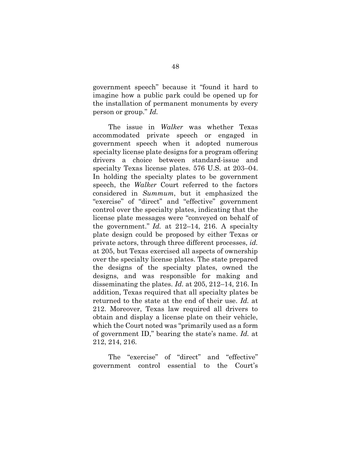government speech" because it "found it hard to imagine how a public park could be opened up for the installation of permanent monuments by every person or group." *Id.*

The issue in *Walker* was whether Texas accommodated private speech or engaged in government speech when it adopted numerous specialty license plate designs for a program offering drivers a choice between standard-issue and specialty Texas license plates. 576 U.S. at 203–04. In holding the specialty plates to be government speech, the *Walker* Court referred to the factors considered in *Summum*, but it emphasized the "exercise" of "direct" and "effective" government control over the specialty plates, indicating that the license plate messages were "conveyed on behalf of the government." *Id.* at 212–14, 216. A specialty plate design could be proposed by either Texas or private actors, through three different processes, *id.*  at 205, but Texas exercised all aspects of ownership over the specialty license plates. The state prepared the designs of the specialty plates, owned the designs, and was responsible for making and disseminating the plates. *Id.* at 205, 212–14, 216. In addition, Texas required that all specialty plates be returned to the state at the end of their use. *Id.* at 212. Moreover, Texas law required all drivers to obtain and display a license plate on their vehicle, which the Court noted was "primarily used as a form of government ID," bearing the state's name. *Id.* at 212, 214, 216.

The "exercise" of "direct" and "effective" government control essential to the Court's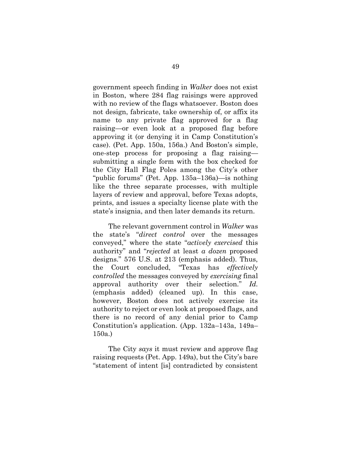government speech finding in *Walker* does not exist in Boston, where 284 flag raisings were approved with no review of the flags whatsoever. Boston does not design, fabricate, take ownership of, or affix its name to any private flag approved for a flag raising—or even look at a proposed flag before approving it (or denying it in Camp Constitution's case). (Pet. App. 150a, 156a.) And Boston's simple, one-step process for proposing a flag raising submitting a single form with the box checked for the City Hall Flag Poles among the City's other "public forums" (Pet. App. 135a–136a)—is nothing like the three separate processes, with multiple layers of review and approval, before Texas adopts, prints, and issues a specialty license plate with the state's insignia, and then later demands its return.

The relevant government control in *Walker* was the state's "*direct control* over the messages conveyed," where the state "*actively exercised* this authority" and "*rejected* at least *a dozen* proposed designs." 576 U.S. at 213 (emphasis added). Thus, the Court concluded, "Texas has *effectively controlled* the messages conveyed by *exercising* final approval authority over their selection." *Id.* (emphasis added) (cleaned up). In this case, however, Boston does not actively exercise its authority to reject or even look at proposed flags, and there is no record of any denial prior to Camp Constitution's application. (App. 132a–143a, 149a– 150a.)

The City *says* it must review and approve flag raising requests (Pet. App. 149a), but the City's bare "statement of intent [is] contradicted by consistent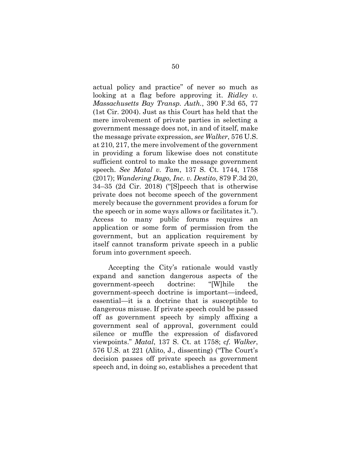actual policy and practice" of never so much as looking at a flag before approving it. *Ridley v. Massachusetts Bay Transp. Auth.*, 390 F.3d 65, 77 (1st Cir. 2004). Just as this Court has held that the mere involvement of private parties in selecting a government message does not, in and of itself, make the message private expression, *see Walker*, 576 U.S. at 210, 217, the mere involvement of the government in providing a forum likewise does not constitute sufficient control to make the message government speech. *See Matal v. Tam*, 137 S. Ct. 1744, 1758 (2017); *Wandering Dago, Inc. v. Destito*, 879 F.3d 20, 34–35 (2d Cir. 2018) ("[S]peech that is otherwise private does not become speech of the government merely because the government provides a forum for the speech or in some ways allows or facilitates it."). Access to many public forums requires an application or some form of permission from the government, but an application requirement by itself cannot transform private speech in a public forum into government speech.

Accepting the City's rationale would vastly expand and sanction dangerous aspects of the government-speech doctrine: "[W]hile the government-speech doctrine is important—indeed, essential—it is a doctrine that is susceptible to dangerous misuse. If private speech could be passed off as government speech by simply affixing a government seal of approval, government could silence or muffle the expression of disfavored viewpoints." *Matal*, 137 S. Ct. at 1758; c*f. Walker*, 576 U.S. at 221 (Alito, J., dissenting) ("The Court's decision passes off private speech as government speech and, in doing so, establishes a precedent that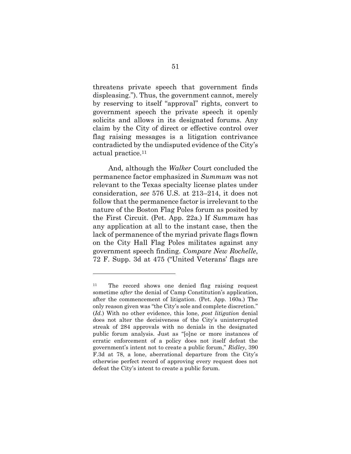threatens private speech that government finds displeasing."). Thus, the government cannot, merely by reserving to itself "approval" rights, convert to government speech the private speech it openly solicits and allows in its designated forums. Any claim by the City of direct or effective control over flag raising messages is a litigation contrivance contradicted by the undisputed evidence of the City's actual practice.<sup>11</sup>

And, although the *Walker* Court concluded the permanence factor emphasized in *Summum* was not relevant to the Texas specialty license plates under consideration, *see* 576 U.S. at 213–214, it does not follow that the permanence factor is irrelevant to the nature of the Boston Flag Poles forum as posited by the First Circuit. (Pet. App. 22a.) If *Summum* has any application at all to the instant case, then the lack of permanence of the myriad private flags flown on the City Hall Flag Poles militates against any government speech finding. *Compare New Rochelle*, 72 F. Supp. 3d at 475 ("United Veterans' flags are

<sup>11</sup> The record shows one denied flag raising request sometime *after* the denial of Camp Constitution's application, after the commencement of litigation. (Pet. App. 160a.) The only reason given was "the City's sole and complete discretion." (*Id.*) With no other evidence, this lone, *post litigation* denial does not alter the decisiveness of the City's uninterrupted streak of 284 approvals with no denials in the designated public forum analysis. Just as "[o]ne or more instances of erratic enforcement of a policy does not itself defeat the government's intent not to create a public forum," *Ridley*, 390 F.3d at 78, a lone, aberrational departure from the City's otherwise perfect record of approving every request does not defeat the City's intent to create a public forum.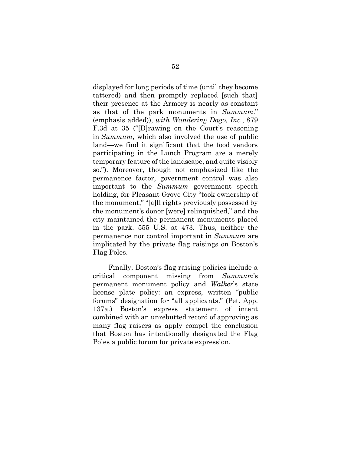displayed for long periods of time (until they become tattered) and then promptly replaced [such that] their presence at the Armory is nearly as constant as that of the park monuments in *Summum*." (emphasis added)), *with Wandering Dago, Inc.*, 879 F.3d at 35 ("[D]rawing on the Court's reasoning in *Summum*, which also involved the use of public land—we find it significant that the food vendors participating in the Lunch Program are a merely temporary feature of the landscape, and quite visibly so."). Moreover, though not emphasized like the permanence factor, government control was also important to the *Summum* government speech holding, for Pleasant Grove City "took ownership of the monument," "[a]ll rights previously possessed by the monument's donor [were] relinquished," and the city maintained the permanent monuments placed in the park. 555 U.S. at 473. Thus, neither the permanence nor control important in *Summum* are implicated by the private flag raisings on Boston's Flag Poles.

Finally, Boston's flag raising policies include a critical component missing from *Summum*'s permanent monument policy and *Walker*'s state license plate policy: an express, written "public forums" designation for "all applicants." (Pet. App. 137a.) Boston's express statement of intent combined with an unrebutted record of approving as many flag raisers as apply compel the conclusion that Boston has intentionally designated the Flag Poles a public forum for private expression.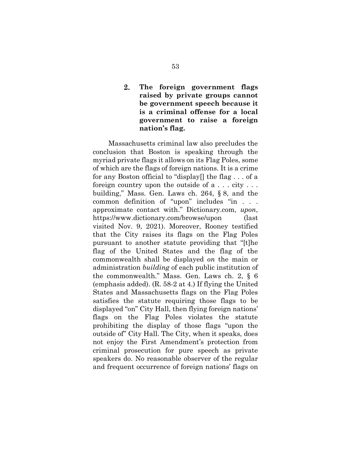### $2.$ **The foreign government flags raised by private groups cannot be government speech because it is a criminal offense for a local government to raise a foreign nation's flag.**

Massachusetts criminal law also precludes the conclusion that Boston is speaking through the myriad private flags it allows on its Flag Poles, some of which are the flags of foreign nations. It is a crime for any Boston official to "display[] the flag . . . of a foreign country upon the outside of a . . . city . . . building," Mass. Gen. Laws ch. 264, § 8, and the common definition of "upon" includes "in . . . approximate contact with." Dictionary.com, *upon*, https://www.dictionary.com/browse/upon (last visited Nov. 9, 2021). Moreover, Rooney testified that the City raises its flags on the Flag Poles pursuant to another statute providing that "[t]he flag of the United States and the flag of the commonwealth shall be displayed *on* the main or administration *building* of each public institution of the commonwealth." Mass. Gen. Laws ch. 2, § 6 (emphasis added). (R. 58-2 at 4.) If flying the United States and Massachusetts flags on the Flag Poles satisfies the statute requiring those flags to be displayed "on" City Hall, then flying foreign nations' flags on the Flag Poles violates the statute prohibiting the display of those flags "upon the outside of" City Hall. The City, when it speaks, does not enjoy the First Amendment's protection from criminal prosecution for pure speech as private speakers do. No reasonable observer of the regular and frequent occurrence of foreign nations' flags on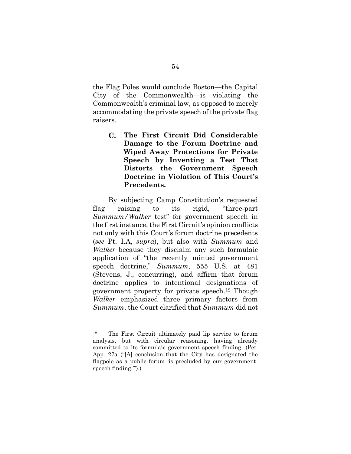the Flag Poles would conclude Boston—the Capital City of the Commonwealth—is violating the Commonwealth's criminal law, as opposed to merely accommodating the private speech of the private flag raisers.

 $\mathbf{C}$ . **The First Circuit Did Considerable Damage to the Forum Doctrine and Wiped Away Protections for Private Speech by Inventing a Test That Distorts the Government Speech Doctrine in Violation of This Court's Precedents.**

By subjecting Camp Constitution's requested flag raising to its rigid, "three-part *Summum/Walker* test" for government speech in the first instance, the First Circuit's opinion conflicts not only with this Court's forum doctrine precedents (*see* Pt. I.A, *supra*), but also with *Summum* and *Walker* because they disclaim any such formulaic application of "the recently minted government speech doctrine," *Summum*, 555 U.S. at 481 (Stevens, J., concurring), and affirm that forum doctrine applies to intentional designations of government property for private speech.<sup>12</sup> Though *Walker* emphasized three primary factors from *Summum*, the Court clarified that *Summum* did not

<sup>12</sup> The First Circuit ultimately paid lip service to forum analysis, but with circular reasoning, having already committed to its formulaic government speech finding. (Pet. App. 27a ("[A] conclusion that the City has designated the flagpole as a public forum 'is precluded by our governmentspeech finding.'").)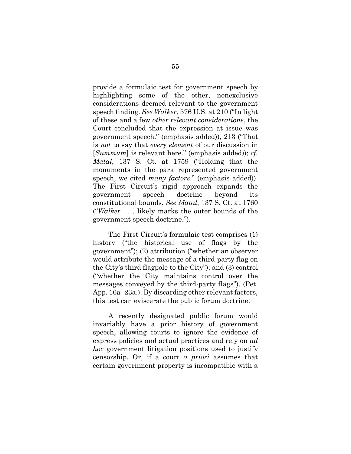provide a formulaic test for government speech by highlighting some of the other, nonexclusive considerations deemed relevant to the government speech finding. *See Walker*, 576 U.S. at 210 ("In light of these and a few *other relevant considerations*, the Court concluded that the expression at issue was government speech." (emphasis added)), 213 ("That is *not* to say that *every element* of our discussion in [*Summum*] is relevant here." (emphasis added)); *cf. Matal*, 137 S. Ct. at 1759 ("Holding that the monuments in the park represented government speech, we cited *many factors*." (emphasis added)). The First Circuit's rigid approach expands the government speech doctrine beyond its constitutional bounds. *See Matal*, 137 S. Ct. at 1760 ("*Walker* . . . likely marks the outer bounds of the government speech doctrine.").

The First Circuit's formulaic test comprises (1) history ("the historical use of flags by the government"); (2) attribution ("whether an observer would attribute the message of a third-party flag on the City's third flagpole to the City"); and (3) control ("whether the City maintains control over the messages conveyed by the third-party flags"). (Pet. App. 16a–23a.). By discarding other relevant factors, this test can eviscerate the public forum doctrine.

A recently designated public forum would invariably have a prior history of government speech, allowing courts to ignore the evidence of express policies and actual practices and rely on *ad hoc* government litigation positions used to justify censorship. Or, if a court *a priori* assumes that certain government property is incompatible with a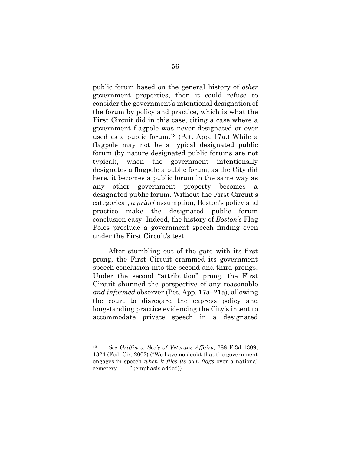public forum based on the general history of *other* government properties, then it could refuse to consider the government's intentional designation of the forum by policy and practice, which is what the First Circuit did in this case, citing a case where a government flagpole was never designated or ever used as a public forum.<sup>13</sup> (Pet. App. 17a.) While a flagpole may not be a typical designated public forum (by nature designated public forums are not typical), when the government intentionally designates a flagpole a public forum, as the City did here, it becomes a public forum in the same way as any other government property becomes a designated public forum. Without the First Circuit's categorical, *a priori* assumption, Boston's policy and practice make the designated public forum conclusion easy. Indeed, the history of *Boston's* Flag Poles preclude a government speech finding even under the First Circuit's test.

After stumbling out of the gate with its first prong, the First Circuit crammed its government speech conclusion into the second and third prongs. Under the second "attribution" prong, the First Circuit shunned the perspective of any reasonable *and informed* observer (Pet. App. 17a–21a), allowing the court to disregard the express policy and longstanding practice evidencing the City's intent to accommodate private speech in a designated

<sup>13</sup> *See Griffin v. Sec'y of Veterans Affairs*, 288 F.3d 1309, 1324 (Fed. Cir. 2002) ("We have no doubt that the government engages in speech *when it flies its own flags* over a national cemetery . . . ." (emphasis added)).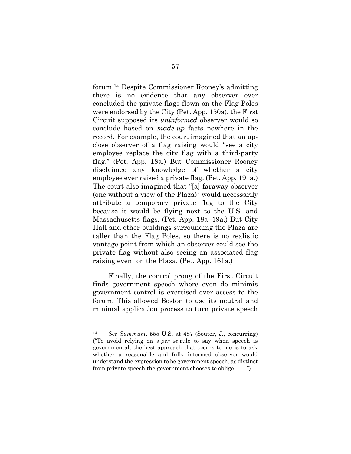forum. <sup>14</sup> Despite Commissioner Rooney's admitting there is no evidence that any observer ever concluded the private flags flown on the Flag Poles were endorsed by the City (Pet. App. 150a), the First Circuit supposed its *uninformed* observer would so conclude based on *made-up* facts nowhere in the record. For example, the court imagined that an upclose observer of a flag raising would "see a city employee replace the city flag with a third-party flag." (Pet. App. 18a.) But Commissioner Rooney disclaimed any knowledge of whether a city employee ever raised a private flag. (Pet. App. 191a.) The court also imagined that "[a] faraway observer (one without a view of the Plaza)" would necessarily attribute a temporary private flag to the City because it would be flying next to the U.S. and Massachusetts flags. (Pet. App. 18a–19a.) But City Hall and other buildings surrounding the Plaza are taller than the Flag Poles, so there is no realistic vantage point from which an observer could see the private flag without also seeing an associated flag raising event on the Plaza. (Pet. App. 161a.)

Finally, the control prong of the First Circuit finds government speech where even de minimis government control is exercised over access to the forum. This allowed Boston to use its neutral and minimal application process to turn private speech

<sup>14</sup> *See Summum*, 555 U.S. at 487 (Souter, J., concurring) ("To avoid relying on a *per se* rule to say when speech is governmental, the best approach that occurs to me is to ask whether a reasonable and fully informed observer would understand the expression to be government speech, as distinct from private speech the government chooses to oblige . . . .").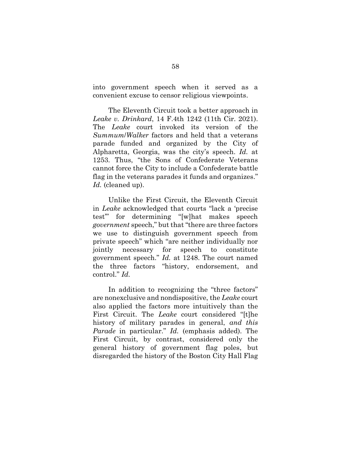into government speech when it served as a convenient excuse to censor religious viewpoints.

The Eleventh Circuit took a better approach in *Leake v. Drinkard*, 14 F.4th 1242 (11th Cir. 2021). The *Leake* court invoked its version of the *Summum*/*Walker* factors and held that a veterans parade funded and organized by the City of Alpharetta, Georgia, was the city's speech. *Id.* at 1253. Thus, "the Sons of Confederate Veterans cannot force the City to include a Confederate battle flag in the veterans parades it funds and organizes." *Id.* (cleaned up).

Unlike the First Circuit, the Eleventh Circuit in *Leake* acknowledged that courts "lack a 'precise test'" for determining "[w]hat makes speech *government* speech," but that "there are three factors we use to distinguish government speech from private speech" which "are neither individually nor jointly necessary for speech to constitute government speech." *Id.* at 1248. The court named the three factors "history, endorsement, and control." *Id.*

In addition to recognizing the "three factors" are nonexclusive and nondispositive, the *Leake* court also applied the factors more intuitively than the First Circuit. The *Leake* court considered "[t]he history of military parades in general, *and this Parade* in particular." *Id.* (emphasis added). The First Circuit, by contrast, considered only the general history of government flag poles, but disregarded the history of the Boston City Hall Flag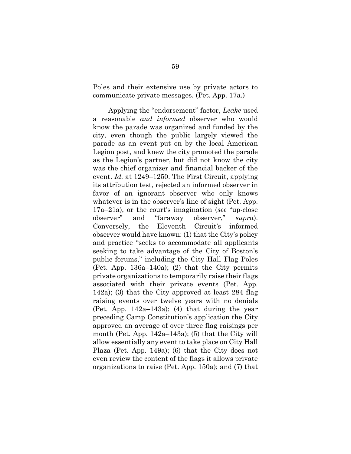Poles and their extensive use by private actors to communicate private messages. (Pet. App. 17a.)

Applying the "endorsement" factor, *Leake* used a reasonable *and informed* observer who would know the parade was organized and funded by the city, even though the public largely viewed the parade as an event put on by the local American Legion post, and knew the city promoted the parade as the Legion's partner, but did not know the city was the chief organizer and financial backer of the event. *Id.* at 1249–1250. The First Circuit, applying its attribution test, rejected an informed observer in favor of an ignorant observer who only knows whatever is in the observer's line of sight (Pet. App. 17a–21a), or the court's imagination (*see* "up-close observer" and "faraway observer," *supra*). Conversely, the Eleventh Circuit's informed observer would have known: (1) that the City's policy and practice "seeks to accommodate all applicants seeking to take advantage of the City of Boston's public forums," including the City Hall Flag Poles (Pet. App. 136a–140a); (2) that the City permits private organizations to temporarily raise their flags associated with their private events (Pet. App. 142a); (3) that the City approved at least 284 flag raising events over twelve years with no denials (Pet. App. 142a–143a); (4) that during the year preceding Camp Constitution's application the City approved an average of over three flag raisings per month (Pet. App. 142a–143a); (5) that the City will allow essentially any event to take place on City Hall Plaza (Pet. App. 149a); (6) that the City does not even review the content of the flags it allows private organizations to raise (Pet. App. 150a); and (7) that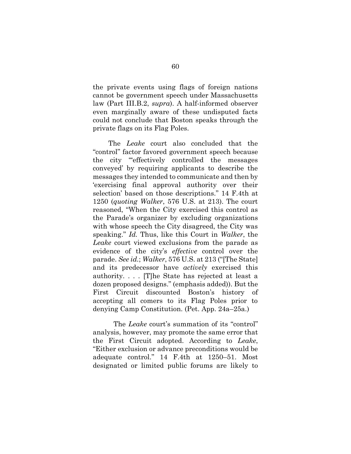the private events using flags of foreign nations cannot be government speech under Massachusetts law (Part III.B.2, *supra*). A half-informed observer even marginally aware of these undisputed facts could not conclude that Boston speaks through the private flags on its Flag Poles.

The *Leake* court also concluded that the "control" factor favored government speech because the city "'effectively controlled the messages conveyed' by requiring applicants to describe the messages they intended to communicate and then by 'exercising final approval authority over their selection' based on those descriptions." 14 F.4th at 1250 (*quoting Walker*, 576 U.S. at 213). The court reasoned, "When the City exercised this control as the Parade's organizer by excluding organizations with whose speech the City disagreed, the City was speaking." *Id.* Thus, like this Court in *Walker*, the *Leake* court viewed exclusions from the parade as evidence of the city's *effective* control over the parade. *See id.*; *Walker*, 576 U.S. at 213 ("[The State] and its predecessor have *actively* exercised this authority. . . . [T]he State has rejected at least a dozen proposed designs." (emphasis added)). But the First Circuit discounted Boston's history of accepting all comers to its Flag Poles prior to denying Camp Constitution. (Pet. App. 24a–25a.)

The *Leake* court's summation of its "control" analysis, however, may promote the same error that the First Circuit adopted. According to *Leake*, "Either exclusion or advance preconditions would be adequate control." 14 F.4th at 1250–51. Most designated or limited public forums are likely to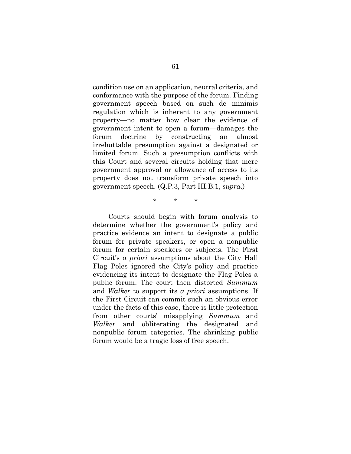condition use on an application, neutral criteria, and conformance with the purpose of the forum. Finding government speech based on such de minimis regulation which is inherent to any government property—no matter how clear the evidence of government intent to open a forum—damages the forum doctrine by constructing an almost irrebuttable presumption against a designated or limited forum. Such a presumption conflicts with this Court and several circuits holding that mere government approval or allowance of access to its property does not transform private speech into government speech. (Q.P.3, Part III.B.1, *supra*.)

\* \* \*

Courts should begin with forum analysis to determine whether the government's policy and practice evidence an intent to designate a public forum for private speakers, or open a nonpublic forum for certain speakers or subjects. The First Circuit's *a priori* assumptions about the City Hall Flag Poles ignored the City's policy and practice evidencing its intent to designate the Flag Poles a public forum. The court then distorted *Summum* and *Walker* to support its *a priori* assumptions. If the First Circuit can commit such an obvious error under the facts of this case, there is little protection from other courts' misapplying *Summum* and *Walker* and obliterating the designated and nonpublic forum categories. The shrinking public forum would be a tragic loss of free speech.